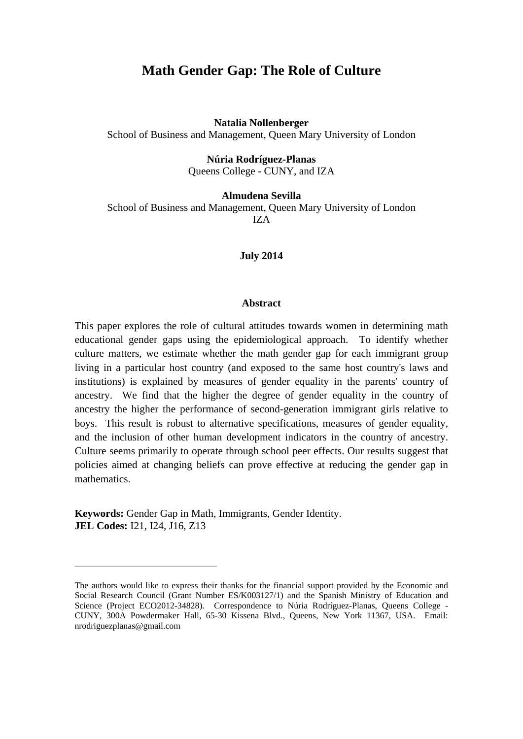## **Math Gender Gap: The Role of Culture**

**Natalia Nollenberger** 

School of Business and Management, Queen Mary University of London

**Núria Rodríguez-Planas** 

Queens College - CUNY, and IZA

## **Almudena Sevilla**

School of Business and Management, Queen Mary University of London IZA

#### **July 2014**

#### **Abstract**

This paper explores the role of cultural attitudes towards women in determining math educational gender gaps using the epidemiological approach. To identify whether culture matters, we estimate whether the math gender gap for each immigrant group living in a particular host country (and exposed to the same host country's laws and institutions) is explained by measures of gender equality in the parents' country of ancestry. We find that the higher the degree of gender equality in the country of ancestry the higher the performance of second-generation immigrant girls relative to boys. This result is robust to alternative specifications, measures of gender equality, and the inclusion of other human development indicators in the country of ancestry. Culture seems primarily to operate through school peer effects. Our results suggest that policies aimed at changing beliefs can prove effective at reducing the gender gap in mathematics.

**Keywords:** Gender Gap in Math, Immigrants, Gender Identity. **JEL Codes:** I21, I24, J16, Z13

\_\_\_\_\_\_\_\_\_\_\_\_\_\_\_\_\_\_\_\_\_\_\_\_\_\_\_

The authors would like to express their thanks for the financial support provided by the Economic and Social Research Council (Grant Number ES/K003127/1) and the Spanish Ministry of Education and Science (Project ECO2012-34828). Correspondence to Núria Rodríguez-Planas, Queens College - CUNY, 300A Powdermaker Hall, 65-30 Kissena Blvd., Queens, New York 11367, USA. Email: nrodriguezplanas@gmail.com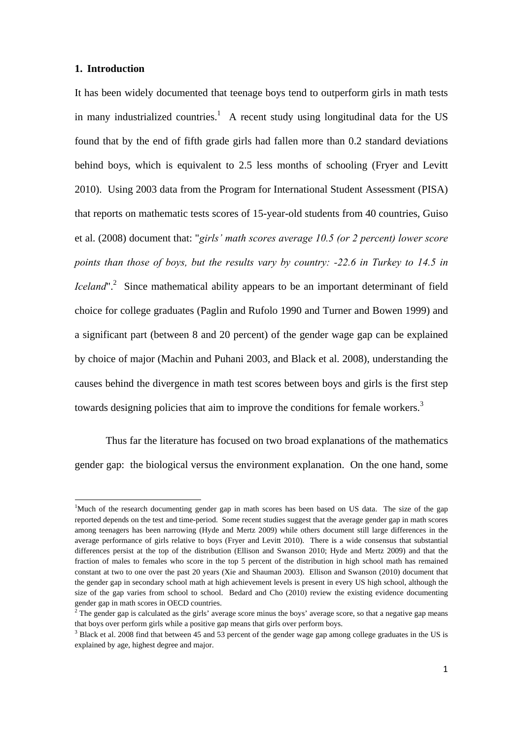### **1. Introduction**

1

It has been widely documented that teenage boys tend to outperform girls in math tests in many industrialized countries.<sup>1</sup> A recent study using longitudinal data for the US found that by the end of fifth grade girls had fallen more than 0.2 standard deviations behind boys, which is equivalent to 2.5 less months of schooling (Fryer and Levitt 2010). Using 2003 data from the Program for International Student Assessment (PISA) that reports on mathematic tests scores of 15-year-old students from 40 countries, Guiso et al. (2008) document that: "*girls' math scores average 10.5 (or 2 percent) lower score points than those of boys, but the results vary by country: -22.6 in Turkey to 14.5 in Iceland*".<sup>2</sup> Since mathematical ability appears to be an important determinant of field choice for college graduates (Paglin and Rufolo 1990 and Turner and Bowen 1999) and a significant part (between 8 and 20 percent) of the gender wage gap can be explained by choice of major (Machin and Puhani 2003, and Black et al. 2008), understanding the causes behind the divergence in math test scores between boys and girls is the first step towards designing policies that aim to improve the conditions for female workers.<sup>3</sup>

 Thus far the literature has focused on two broad explanations of the mathematics gender gap: the biological versus the environment explanation. On the one hand, some

<sup>&</sup>lt;sup>1</sup>Much of the research documenting gender gap in math scores has been based on US data. The size of the gap reported depends on the test and time-period. Some recent studies suggest that the average gender gap in math scores among teenagers has been narrowing (Hyde and Mertz 2009) while others document still large differences in the average performance of girls relative to boys (Fryer and Levitt 2010). There is a wide consensus that substantial differences persist at the top of the distribution (Ellison and Swanson 2010; Hyde and Mertz 2009) and that the fraction of males to females who score in the top 5 percent of the distribution in high school math has remained constant at two to one over the past 20 years (Xie and Shauman 2003). Ellison and Swanson (2010) document that the gender gap in secondary school math at high achievement levels is present in every US high school, although the size of the gap varies from school to school. Bedard and Cho (2010) review the existing evidence documenting gender gap in math scores in OECD countries. 2

<sup>&</sup>lt;sup>2</sup> The gender gap is calculated as the girls' average score minus the boys' average score, so that a negative gap means that boys over perform girls while a positive gap means that girls over perform boys.

 $3$  Black et al. 2008 find that between 45 and 53 percent of the gender wage gap among college graduates in the US is explained by age, highest degree and major.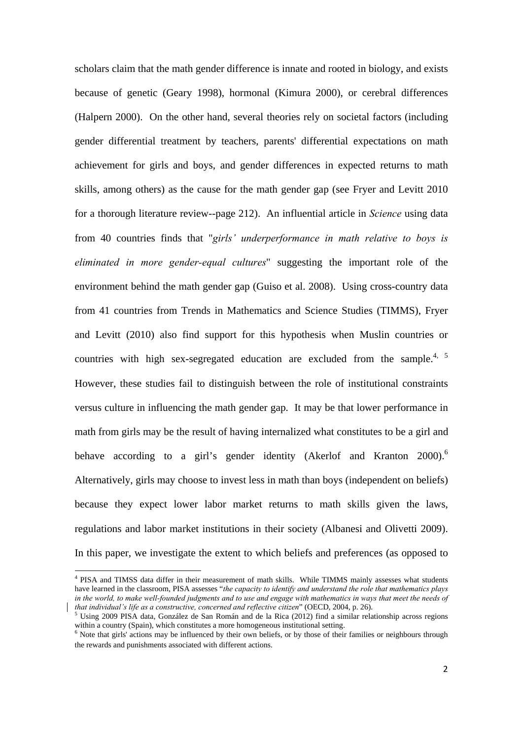scholars claim that the math gender difference is innate and rooted in biology, and exists because of genetic (Geary 1998), hormonal (Kimura 2000), or cerebral differences (Halpern 2000). On the other hand, several theories rely on societal factors (including gender differential treatment by teachers, parents' differential expectations on math achievement for girls and boys, and gender differences in expected returns to math skills, among others) as the cause for the math gender gap (see Fryer and Levitt 2010 for a thorough literature review--page 212). An influential article in *Science* using data from 40 countries finds that "*girls' underperformance in math relative to boys is eliminated in more gender-equal cultures*" suggesting the important role of the environment behind the math gender gap (Guiso et al. 2008). Using cross-country data from 41 countries from Trends in Mathematics and Science Studies (TIMMS), Fryer and Levitt (2010) also find support for this hypothesis when Muslin countries or countries with high sex-segregated education are excluded from the sample.<sup>4, 5</sup> However, these studies fail to distinguish between the role of institutional constraints versus culture in influencing the math gender gap. It may be that lower performance in math from girls may be the result of having internalized what constitutes to be a girl and behave according to a girl's gender identity (Akerlof and Kranton 2000).<sup>6</sup> Alternatively, girls may choose to invest less in math than boys (independent on beliefs) because they expect lower labor market returns to math skills given the laws, regulations and labor market institutions in their society (Albanesi and Olivetti 2009). In this paper, we investigate the extent to which beliefs and preferences (as opposed to

<sup>&</sup>lt;sup>4</sup> PISA and TIMSS data differ in their measurement of math skills. While TIMMS mainly assesses what students have learned in the classroom, PISA assesses "*the capacity to identify and understand the role that mathematics plays*  in the world, to make well-founded judgments and to use and engage with mathematics in ways that meet the needs of *that individual's life as a constructive, concerned and reflective citizen*" (OECD, 2004, p. 26). 5

Using 2009 PISA data, González de San Román and de la Rica (2012) find a similar relationship across regions within a country (Spain), which constitutes a more homogeneous institutional setting.

<sup>&</sup>lt;sup>6</sup> Note that girls' actions may be influenced by their own beliefs, or by those of their families or neighbours through the rewards and punishments associated with different actions.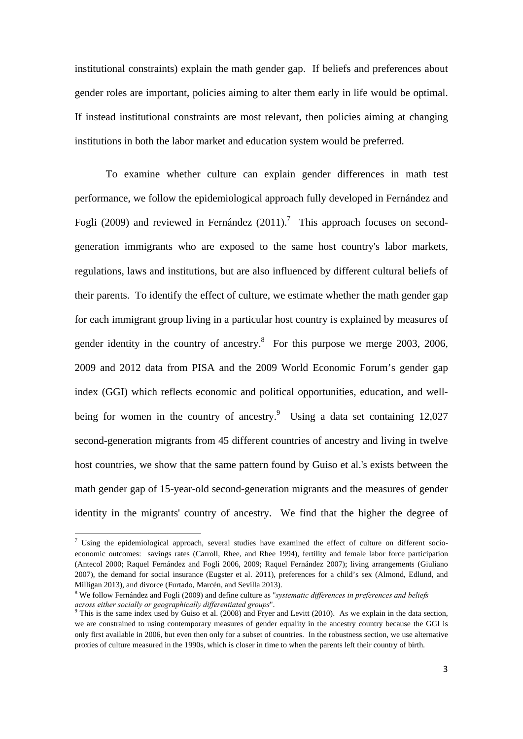institutional constraints) explain the math gender gap. If beliefs and preferences about gender roles are important, policies aiming to alter them early in life would be optimal. If instead institutional constraints are most relevant, then policies aiming at changing institutions in both the labor market and education system would be preferred.

 To examine whether culture can explain gender differences in math test performance, we follow the epidemiological approach fully developed in Fernández and Fogli (2009) and reviewed in Fernández (2011).<sup>7</sup> This approach focuses on secondgeneration immigrants who are exposed to the same host country's labor markets, regulations, laws and institutions, but are also influenced by different cultural beliefs of their parents. To identify the effect of culture, we estimate whether the math gender gap for each immigrant group living in a particular host country is explained by measures of gender identity in the country of ancestry. $8$  For this purpose we merge 2003, 2006, 2009 and 2012 data from PISA and the 2009 World Economic Forum's gender gap index (GGI) which reflects economic and political opportunities, education, and wellbeing for women in the country of ancestry.<sup>9</sup> Using a data set containing 12,027 second-generation migrants from 45 different countries of ancestry and living in twelve host countries, we show that the same pattern found by Guiso et al.'s exists between the math gender gap of 15-year-old second-generation migrants and the measures of gender identity in the migrants' country of ancestry. We find that the higher the degree of

The Using the epidemiological approach, several studies have examined the effect of culture on different socioeconomic outcomes: savings rates (Carroll, Rhee, and Rhee 1994), fertility and female labor force participation (Antecol 2000; Raquel Fernández and Fogli 2006, 2009; Raquel Fernández 2007); living arrangements (Giuliano 2007), the demand for social insurance (Eugster et al. 2011), preferences for a child's sex (Almond, Edlund, and Milligan 2013), and divorce (Furtado, Marcén, and Sevilla 2013).

<sup>8</sup> We follow Fernández and Fogli (2009) and define culture as "*systematic differences in preferences and beliefs*  across either socially or geographically differentiated groups".<br><sup>9</sup> This is the same index used by Guiso et al. (2008) and Fryer and Levitt (2010). As we explain in the data section,

we are constrained to using contemporary measures of gender equality in the ancestry country because the GGI is only first available in 2006, but even then only for a subset of countries. In the robustness section, we use alternative proxies of culture measured in the 1990s, which is closer in time to when the parents left their country of birth.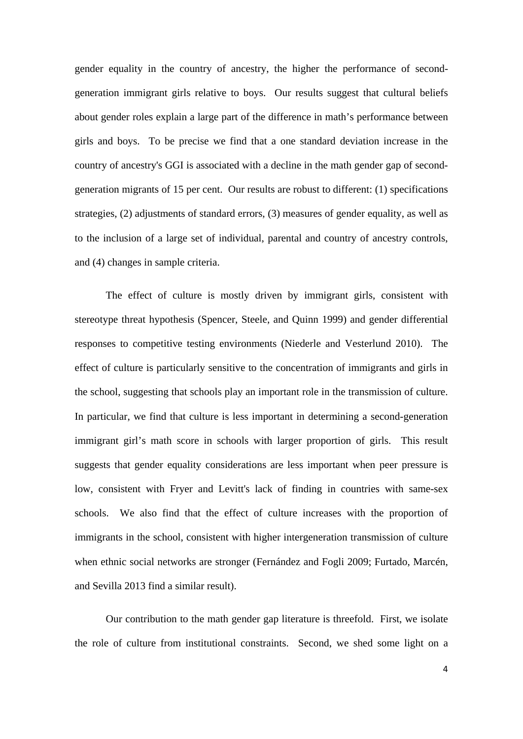gender equality in the country of ancestry, the higher the performance of secondgeneration immigrant girls relative to boys. Our results suggest that cultural beliefs about gender roles explain a large part of the difference in math's performance between girls and boys. To be precise we find that a one standard deviation increase in the country of ancestry's GGI is associated with a decline in the math gender gap of secondgeneration migrants of 15 per cent. Our results are robust to different: (1) specifications strategies, (2) adjustments of standard errors, (3) measures of gender equality, as well as to the inclusion of a large set of individual, parental and country of ancestry controls, and (4) changes in sample criteria.

The effect of culture is mostly driven by immigrant girls, consistent with stereotype threat hypothesis (Spencer, Steele, and Quinn 1999) and gender differential responses to competitive testing environments (Niederle and Vesterlund 2010). The effect of culture is particularly sensitive to the concentration of immigrants and girls in the school, suggesting that schools play an important role in the transmission of culture. In particular, we find that culture is less important in determining a second-generation immigrant girl's math score in schools with larger proportion of girls. This result suggests that gender equality considerations are less important when peer pressure is low, consistent with Fryer and Levitt's lack of finding in countries with same-sex schools. We also find that the effect of culture increases with the proportion of immigrants in the school, consistent with higher intergeneration transmission of culture when ethnic social networks are stronger (Fernández and Fogli 2009; Furtado, Marcén, and Sevilla 2013 find a similar result).

Our contribution to the math gender gap literature is threefold. First, we isolate the role of culture from institutional constraints. Second, we shed some light on a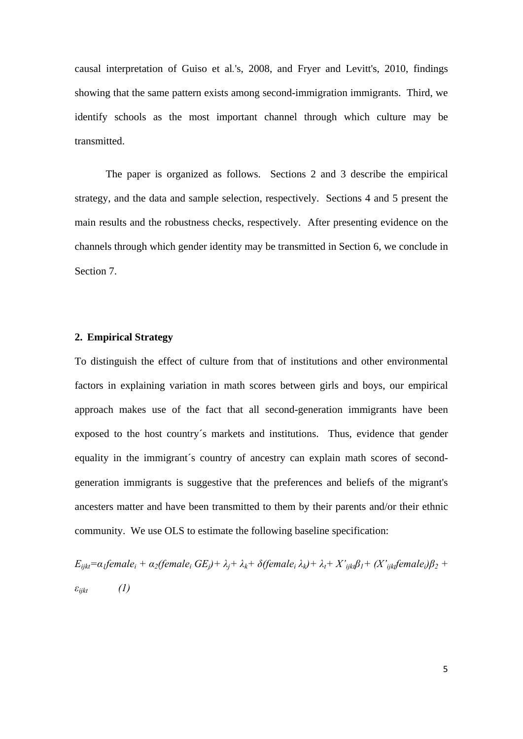causal interpretation of Guiso et al*.*'s, 2008, and Fryer and Levitt's, 2010, findings showing that the same pattern exists among second-immigration immigrants. Third, we identify schools as the most important channel through which culture may be transmitted.

The paper is organized as follows. Sections 2 and 3 describe the empirical strategy, and the data and sample selection, respectively. Sections 4 and 5 present the main results and the robustness checks, respectively. After presenting evidence on the channels through which gender identity may be transmitted in Section 6, we conclude in Section 7.

## **2. Empirical Strategy**

To distinguish the effect of culture from that of institutions and other environmental factors in explaining variation in math scores between girls and boys, our empirical approach makes use of the fact that all second-generation immigrants have been exposed to the host country´s markets and institutions. Thus, evidence that gender equality in the immigrant´s country of ancestry can explain math scores of secondgeneration immigrants is suggestive that the preferences and beliefs of the migrant's ancesters matter and have been transmitted to them by their parents and/or their ethnic community. We use OLS to estimate the following baseline specification:

 $E_{i j k t} = \alpha_l$ female<sub>i</sub> +  $\alpha_2$ (female<sub>i</sub> GE<sub>i</sub>) +  $\lambda_i$  +  $\lambda_k$  +  $\delta$ (female<sub>i</sub>  $\lambda_k$ ) +  $\lambda_t$  +  $X$ <sup>'</sup><sub>ijkt</sub> $\beta_1$  +  $(X$ <sup>'</sup><sub>ijkt</sub> $f$ emale<sub>i</sub>) $\beta_2$  + *εijkt (1)*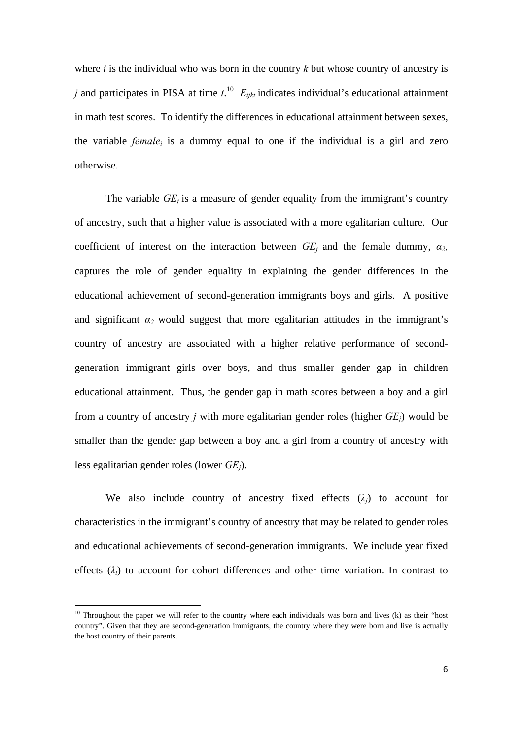where *i* is the individual who was born in the country *k* but whose country of ancestry is *j* and participates in PISA at time  $t^{10}$   $E_{ijkt}$  indicates individual's educational attainment in math test scores. To identify the differences in educational attainment between sexes, the variable *female<sub>i</sub>* is a dummy equal to one if the individual is a girl and zero otherwise.

The variable  $GE_i$  is a measure of gender equality from the immigrant's country of ancestry, such that a higher value is associated with a more egalitarian culture. Our coefficient of interest on the interaction between  $GE_i$  and the female dummy,  $\alpha_2$ , captures the role of gender equality in explaining the gender differences in the educational achievement of second-generation immigrants boys and girls. A positive and significant  $\alpha_2$  would suggest that more egalitarian attitudes in the immigrant's country of ancestry are associated with a higher relative performance of secondgeneration immigrant girls over boys, and thus smaller gender gap in children educational attainment. Thus, the gender gap in math scores between a boy and a girl from a country of ancestry *j* with more egalitarian gender roles (higher *GEj*) would be smaller than the gender gap between a boy and a girl from a country of ancestry with less egalitarian gender roles (lower *GEj*).

We also include country of ancestry fixed effects  $(\lambda_i)$  to account for characteristics in the immigrant's country of ancestry that may be related to gender roles and educational achievements of second-generation immigrants. We include year fixed effects  $(\lambda_t)$  to account for cohort differences and other time variation. In contrast to

<u>.</u>

 $10$  Throughout the paper we will refer to the country where each individuals was born and lives (k) as their "host country". Given that they are second-generation immigrants, the country where they were born and live is actually the host country of their parents.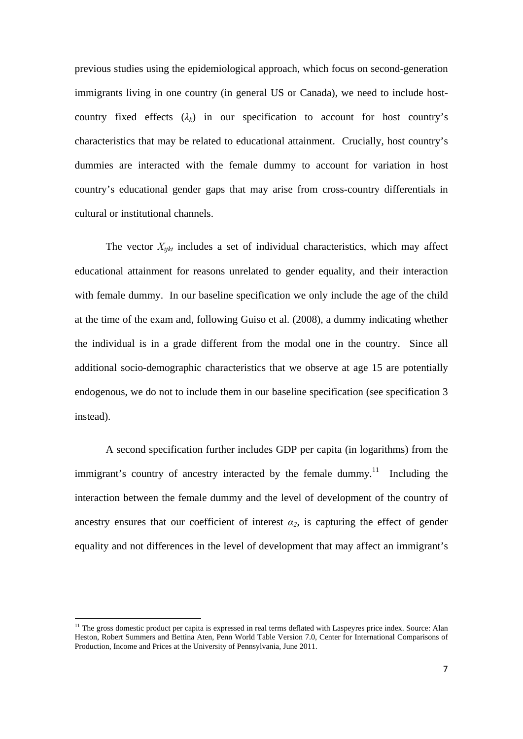previous studies using the epidemiological approach, which focus on second-generation immigrants living in one country (in general US or Canada), we need to include hostcountry fixed effects  $(\lambda_k)$  in our specification to account for host country's characteristics that may be related to educational attainment. Crucially, host country's dummies are interacted with the female dummy to account for variation in host country's educational gender gaps that may arise from cross-country differentials in cultural or institutional channels.

The vector  $X_{i,jkt}$  includes a set of individual characteristics, which may affect educational attainment for reasons unrelated to gender equality, and their interaction with female dummy. In our baseline specification we only include the age of the child at the time of the exam and, following Guiso et al. (2008), a dummy indicating whether the individual is in a grade different from the modal one in the country. Since all additional socio-demographic characteristics that we observe at age 15 are potentially endogenous, we do not to include them in our baseline specification (see specification 3 instead).

A second specification further includes GDP per capita (in logarithms) from the immigrant's country of ancestry interacted by the female dummy.<sup>11</sup> Including the interaction between the female dummy and the level of development of the country of ancestry ensures that our coefficient of interest  $\alpha_2$ , is capturing the effect of gender equality and not differences in the level of development that may affect an immigrant's

<u>.</u>

<sup>&</sup>lt;sup>11</sup> The gross domestic product per capita is expressed in real terms deflated with Laspeyres price index. Source: Alan Heston, Robert Summers and Bettina Aten, Penn World Table Version 7.0, Center for International Comparisons of Production, Income and Prices at the University of Pennsylvania, June 2011.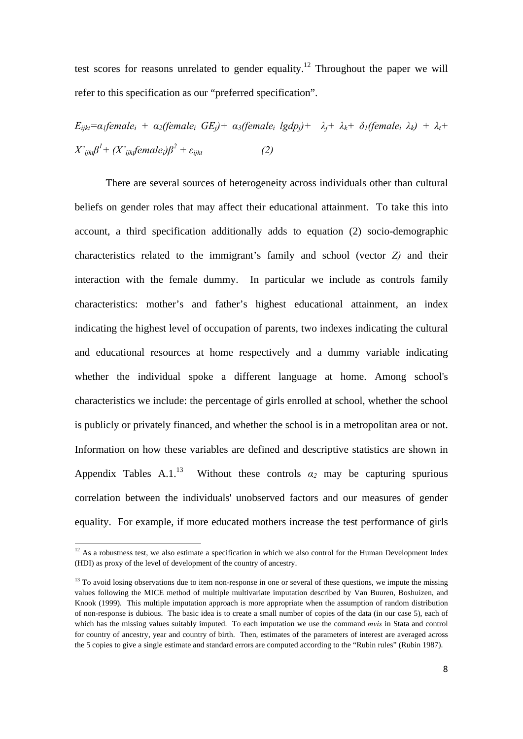test scores for reasons unrelated to gender equality.<sup>12</sup> Throughout the paper we will refer to this specification as our "preferred specification".

*Eijkt=α1femalei + α2(femalei GEj)+ α3(femalei lgdpj)+ λj+ λk+ δ1(femalei λk) + λt+*   $X'_{ijkl}\beta^l + (X'_{ijkl}\pmb{\textit{female}}_i)\beta^2 + \varepsilon_{ijkl}$  (2)

There are several sources of heterogeneity across individuals other than cultural beliefs on gender roles that may affect their educational attainment. To take this into account, a third specification additionally adds to equation (2) socio-demographic characteristics related to the immigrant's family and school (vector *Z)* and their interaction with the female dummy. In particular we include as controls family characteristics: mother's and father's highest educational attainment, an index indicating the highest level of occupation of parents, two indexes indicating the cultural and educational resources at home respectively and a dummy variable indicating whether the individual spoke a different language at home. Among school's characteristics we include: the percentage of girls enrolled at school, whether the school is publicly or privately financed, and whether the school is in a metropolitan area or not. Information on how these variables are defined and descriptive statistics are shown in Appendix Tables A.1.<sup>13</sup> Without these controls  $\alpha_2$  may be capturing spurious correlation between the individuals' unobserved factors and our measures of gender equality. For example, if more educated mothers increase the test performance of girls

 $12$  As a robustness test, we also estimate a specification in which we also control for the Human Development Index (HDI) as proxy of the level of development of the country of ancestry.

 $13$  To avoid losing observations due to item non-response in one or several of these questions, we impute the missing values following the MICE method of multiple multivariate imputation described by Van Buuren, Boshuizen, and Knook (1999). This multiple imputation approach is more appropriate when the assumption of random distribution of non-response is dubious. The basic idea is to create a small number of copies of the data (in our case 5), each of which has the missing values suitably imputed. To each imputation we use the command *mvis* in Stata and control for country of ancestry, year and country of birth. Then, estimates of the parameters of interest are averaged across the 5 copies to give a single estimate and standard errors are computed according to the "Rubin rules" (Rubin 1987).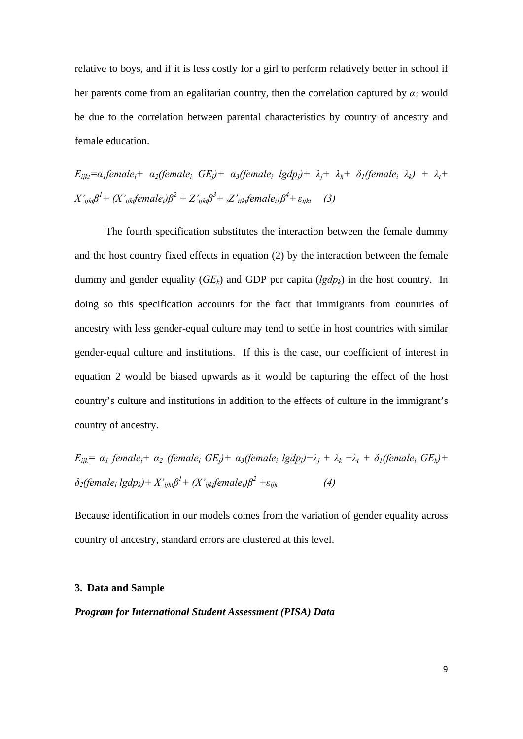relative to boys, and if it is less costly for a girl to perform relatively better in school if her parents come from an egalitarian country, then the correlation captured by  $\alpha_2$  would be due to the correlation between parental characteristics by country of ancestry and female education.

 $E_{i\hat{i}k\hat{i}} = \alpha_i$ female<sub>i</sub>+  $\alpha_2$ (female<sub>i</sub> *GE<sub>i</sub>*)+  $\alpha_3$ (female<sub>i</sub> *lgdp<sub>i</sub>*)+  $\lambda_i$ +  $\lambda_k$ +  $\delta_1$ (female<sub>i</sub>  $\lambda_k$ ) +  $\lambda_i$ +  $X'_{ijkt}$  $\beta^1$  +  $(X'_{ijkt}$ female<sub>i</sub>) $\beta^2$  +  $Z'_{ijkt}$  $\beta^3$  +  $Z'_{ijkt}$ female<sub>i</sub>) $\beta^4$  +  $\varepsilon_{ijkt}$  (3)

The fourth specification substitutes the interaction between the female dummy and the host country fixed effects in equation (2) by the interaction between the female dummy and gender equality  $(GE_k)$  and GDP per capita  $(lgdp_k)$  in the host country. In doing so this specification accounts for the fact that immigrants from countries of ancestry with less gender-equal culture may tend to settle in host countries with similar gender-equal culture and institutions. If this is the case, our coefficient of interest in equation 2 would be biased upwards as it would be capturing the effect of the host country's culture and institutions in addition to the effects of culture in the immigrant's country of ancestry.

$$
E_{ijk} = \alpha_1 \text{ female}_i + \alpha_2 \text{ (female}_i GE_j) + \alpha_3 \text{ (female}_i \text{ (gdp}_j) + \lambda_j + \lambda_k + \lambda_t + \delta_1 \text{ (female}_i GE_k) + \delta_2 \text{ (female}_i \text{ (gdp}_k) + X'_{ijk} \beta^1 + (X'_{ijk} \text{ female}_i) \beta^2 + \varepsilon_{ijk} \qquad (4)
$$

Because identification in our models comes from the variation of gender equality across country of ancestry, standard errors are clustered at this level.

#### **3. Data and Sample**

## *Program for International Student Assessment (PISA) Data*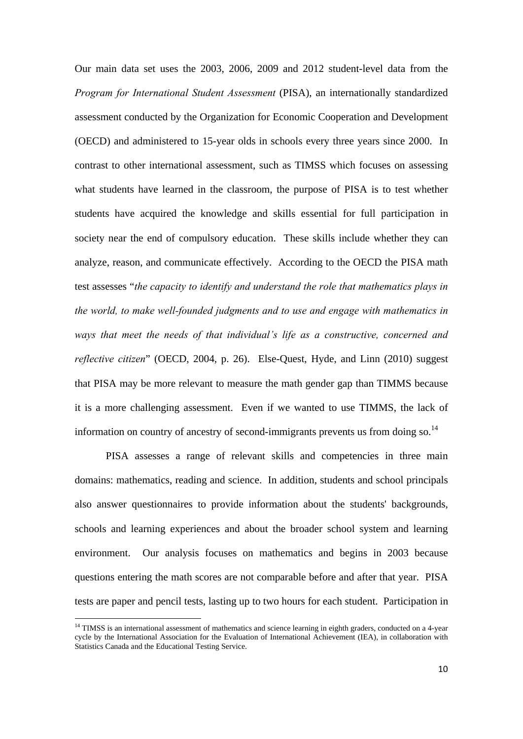Our main data set uses the 2003, 2006, 2009 and 2012 student-level data from the *Program for International Student Assessment* (PISA), an internationally standardized assessment conducted by the Organization for Economic Cooperation and Development (OECD) and administered to 15-year olds in schools every three years since 2000. In contrast to other international assessment, such as TIMSS which focuses on assessing what students have learned in the classroom, the purpose of PISA is to test whether students have acquired the knowledge and skills essential for full participation in society near the end of compulsory education. These skills include whether they can analyze, reason, and communicate effectively. According to the OECD the PISA math test assesses "*the capacity to identify and understand the role that mathematics plays in the world, to make well-founded judgments and to use and engage with mathematics in ways that meet the needs of that individual's life as a constructive, concerned and reflective citizen*" (OECD, 2004, p. 26). Else-Quest, Hyde, and Linn (2010) suggest that PISA may be more relevant to measure the math gender gap than TIMMS because it is a more challenging assessment. Even if we wanted to use TIMMS, the lack of information on country of ancestry of second-immigrants prevents us from doing so.<sup>14</sup>

PISA assesses a range of relevant skills and competencies in three main domains: mathematics, reading and science. In addition, students and school principals also answer questionnaires to provide information about the students' backgrounds, schools and learning experiences and about the broader school system and learning environment. Our analysis focuses on mathematics and begins in 2003 because questions entering the math scores are not comparable before and after that year. PISA tests are paper and pencil tests, lasting up to two hours for each student. Participation in

<u>.</u>

<sup>&</sup>lt;sup>14</sup> TIMSS is an international assessment of mathematics and science learning in eighth graders, conducted on a 4-year cycle by the International Association for the Evaluation of International Achievement (IEA), in collaboration with Statistics Canada and the Educational Testing Service.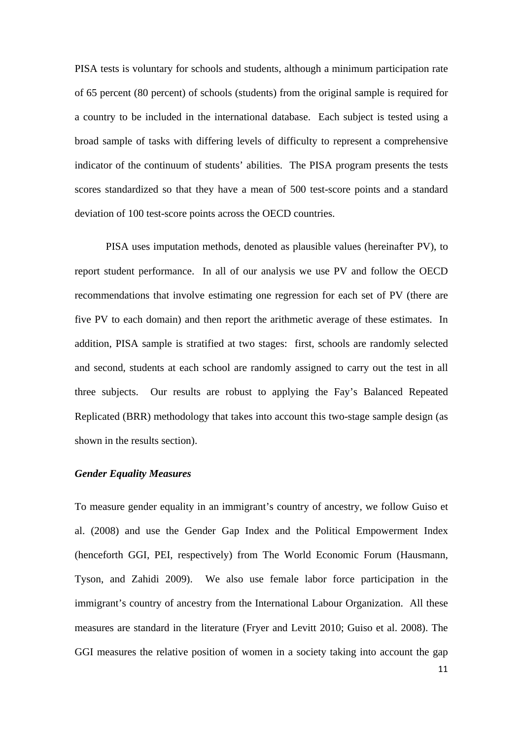PISA tests is voluntary for schools and students, although a minimum participation rate of 65 percent (80 percent) of schools (students) from the original sample is required for a country to be included in the international database. Each subject is tested using a broad sample of tasks with differing levels of difficulty to represent a comprehensive indicator of the continuum of students' abilities. The PISA program presents the tests scores standardized so that they have a mean of 500 test-score points and a standard deviation of 100 test-score points across the OECD countries.

PISA uses imputation methods, denoted as plausible values (hereinafter PV), to report student performance. In all of our analysis we use PV and follow the OECD recommendations that involve estimating one regression for each set of PV (there are five PV to each domain) and then report the arithmetic average of these estimates. In addition, PISA sample is stratified at two stages: first, schools are randomly selected and second, students at each school are randomly assigned to carry out the test in all three subjects. Our results are robust to applying the Fay's Balanced Repeated Replicated (BRR) methodology that takes into account this two-stage sample design (as shown in the results section).

#### *Gender Equality Measures*

To measure gender equality in an immigrant's country of ancestry, we follow Guiso et al. (2008) and use the Gender Gap Index and the Political Empowerment Index (henceforth GGI, PEI, respectively) from The World Economic Forum (Hausmann, Tyson, and Zahidi 2009). We also use female labor force participation in the immigrant's country of ancestry from the International Labour Organization. All these measures are standard in the literature (Fryer and Levitt 2010; Guiso et al. 2008). The GGI measures the relative position of women in a society taking into account the gap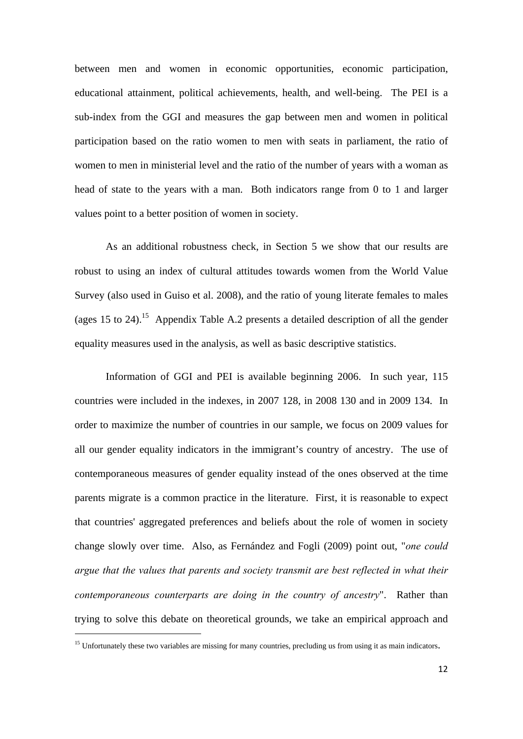between men and women in economic opportunities, economic participation, educational attainment, political achievements, health, and well-being. The PEI is a sub-index from the GGI and measures the gap between men and women in political participation based on the ratio women to men with seats in parliament, the ratio of women to men in ministerial level and the ratio of the number of years with a woman as head of state to the years with a man. Both indicators range from 0 to 1 and larger values point to a better position of women in society.

As an additional robustness check, in Section 5 we show that our results are robust to using an index of cultural attitudes towards women from the World Value Survey (also used in Guiso et al. 2008), and the ratio of young literate females to males (ages 15 to 24).<sup>15</sup> Appendix Table A.2 presents a detailed description of all the gender equality measures used in the analysis, as well as basic descriptive statistics.

Information of GGI and PEI is available beginning 2006. In such year, 115 countries were included in the indexes, in 2007 128, in 2008 130 and in 2009 134. In order to maximize the number of countries in our sample, we focus on 2009 values for all our gender equality indicators in the immigrant's country of ancestry. The use of contemporaneous measures of gender equality instead of the ones observed at the time parents migrate is a common practice in the literature. First, it is reasonable to expect that countries' aggregated preferences and beliefs about the role of women in society change slowly over time. Also, as Fernández and Fogli (2009) point out, "*one could argue that the values that parents and society transmit are best reflected in what their contemporaneous counterparts are doing in the country of ancestry*". Rather than trying to solve this debate on theoretical grounds, we take an empirical approach and

<u>.</u>

 $<sup>15</sup>$  Unfortunately these two variables are missing for many countries, precluding us from using it as main indicators.</sup>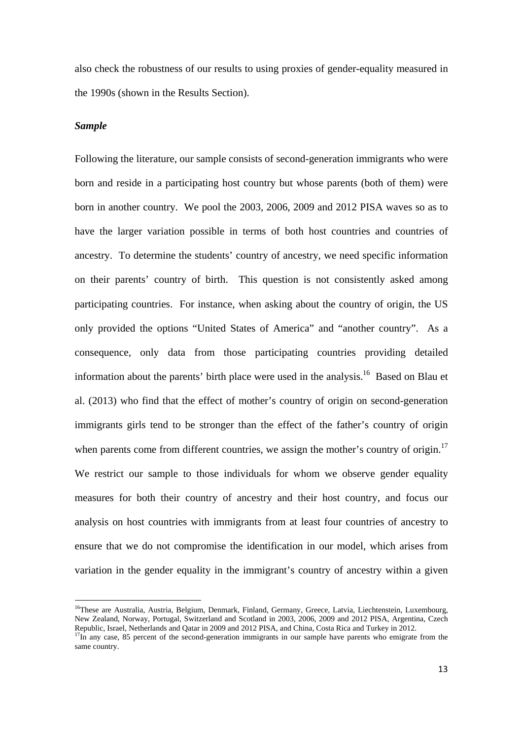also check the robustness of our results to using proxies of gender-equality measured in the 1990s (shown in the Results Section).

## *Sample*

1

Following the literature, our sample consists of second-generation immigrants who were born and reside in a participating host country but whose parents (both of them) were born in another country. We pool the 2003, 2006, 2009 and 2012 PISA waves so as to have the larger variation possible in terms of both host countries and countries of ancestry. To determine the students' country of ancestry, we need specific information on their parents' country of birth. This question is not consistently asked among participating countries. For instance, when asking about the country of origin, the US only provided the options "United States of America" and "another country". As a consequence, only data from those participating countries providing detailed information about the parents' birth place were used in the analysis.<sup>16</sup> Based on Blau et al. (2013) who find that the effect of mother's country of origin on second-generation immigrants girls tend to be stronger than the effect of the father's country of origin when parents come from different countries, we assign the mother's country of origin.<sup>17</sup> We restrict our sample to those individuals for whom we observe gender equality measures for both their country of ancestry and their host country, and focus our analysis on host countries with immigrants from at least four countries of ancestry to ensure that we do not compromise the identification in our model, which arises from variation in the gender equality in the immigrant's country of ancestry within a given

<sup>&</sup>lt;sup>16</sup>These are Australia, Austria, Belgium, Denmark, Finland, Germany, Greece, Latvia, Liechtenstein, Luxembourg, New Zealand, Norway, Portugal, Switzerland and Scotland in 2003, 2006, 2009 and 2012 PISA, Argentina, Czech Republic, Israel, Netherlands and Qatar in 2009 and 2012 PISA, and China, Costa Rica and Turkey in 2012.

 $R_{\text{in}}$  IT any case, 85 percent of the second-generation immigrants in our sample have parents who emigrate from the same country.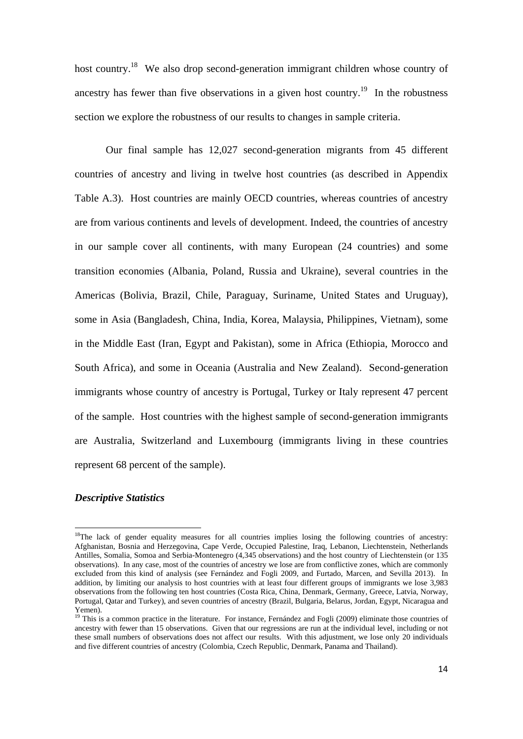host country.<sup>18</sup> We also drop second-generation immigrant children whose country of ancestry has fewer than five observations in a given host country.<sup>19</sup> In the robustness section we explore the robustness of our results to changes in sample criteria.

 Our final sample has 12,027 second-generation migrants from 45 different countries of ancestry and living in twelve host countries (as described in Appendix Table A.3). Host countries are mainly OECD countries, whereas countries of ancestry are from various continents and levels of development. Indeed, the countries of ancestry in our sample cover all continents, with many European (24 countries) and some transition economies (Albania, Poland, Russia and Ukraine), several countries in the Americas (Bolivia, Brazil, Chile, Paraguay, Suriname, United States and Uruguay), some in Asia (Bangladesh, China, India, Korea, Malaysia, Philippines, Vietnam), some in the Middle East (Iran, Egypt and Pakistan), some in Africa (Ethiopia, Morocco and South Africa), and some in Oceania (Australia and New Zealand). Second-generation immigrants whose country of ancestry is Portugal, Turkey or Italy represent 47 percent of the sample. Host countries with the highest sample of second-generation immigrants are Australia, Switzerland and Luxembourg (immigrants living in these countries represent 68 percent of the sample).

## *Descriptive Statistics*

<u>.</u>

 $18$ The lack of gender equality measures for all countries implies losing the following countries of ancestry: Afghanistan, Bosnia and Herzegovina, Cape Verde, Occupied Palestine, Iraq, Lebanon, Liechtenstein, Netherlands Antilles, Somalia, Somoa and Serbia-Montenegro (4,345 observations) and the host country of Liechtenstein (or 135 observations). In any case, most of the countries of ancestry we lose are from conflictive zones, which are commonly excluded from this kind of analysis (see Fernández and Fogli 2009, and Furtado, Marcen, and Sevilla 2013). In addition, by limiting our analysis to host countries with at least four different groups of immigrants we lose 3,983 observations from the following ten host countries (Costa Rica, China, Denmark, Germany, Greece, Latvia, Norway, Portugal, Qatar and Turkey), and seven countries of ancestry (Brazil, Bulgaria, Belarus, Jordan, Egypt, Nicaragua and Yemen).

 $19$  This is a common practice in the literature. For instance, Fernández and Fogli (2009) eliminate those countries of ancestry with fewer than 15 observations. Given that our regressions are run at the individual level, including or not these small numbers of observations does not affect our results. With this adjustment, we lose only 20 individuals and five different countries of ancestry (Colombia, Czech Republic, Denmark, Panama and Thailand).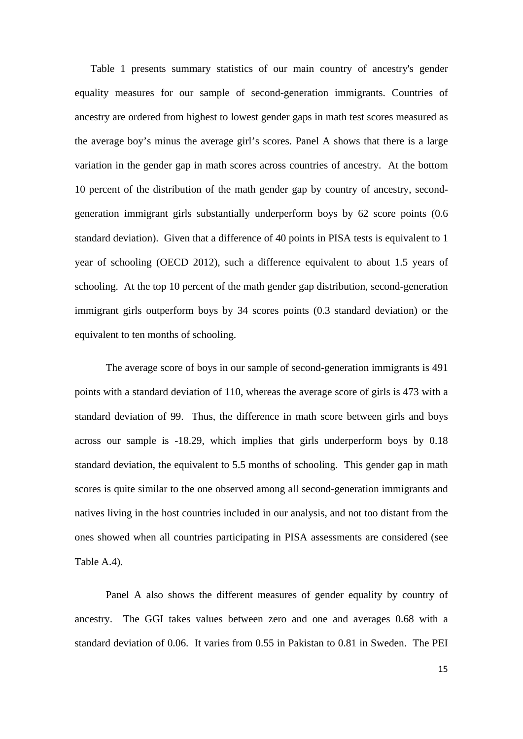Table 1 presents summary statistics of our main country of ancestry's gender equality measures for our sample of second-generation immigrants. Countries of ancestry are ordered from highest to lowest gender gaps in math test scores measured as the average boy's minus the average girl's scores. Panel A shows that there is a large variation in the gender gap in math scores across countries of ancestry. At the bottom 10 percent of the distribution of the math gender gap by country of ancestry, secondgeneration immigrant girls substantially underperform boys by 62 score points (0.6 standard deviation). Given that a difference of 40 points in PISA tests is equivalent to 1 year of schooling (OECD 2012), such a difference equivalent to about 1.5 years of schooling. At the top 10 percent of the math gender gap distribution, second-generation immigrant girls outperform boys by 34 scores points (0.3 standard deviation) or the equivalent to ten months of schooling.

 The average score of boys in our sample of second-generation immigrants is 491 points with a standard deviation of 110, whereas the average score of girls is 473 with a standard deviation of 99. Thus, the difference in math score between girls and boys across our sample is -18.29, which implies that girls underperform boys by 0.18 standard deviation, the equivalent to 5.5 months of schooling. This gender gap in math scores is quite similar to the one observed among all second-generation immigrants and natives living in the host countries included in our analysis, and not too distant from the ones showed when all countries participating in PISA assessments are considered (see Table A.4).

 Panel A also shows the different measures of gender equality by country of ancestry. The GGI takes values between zero and one and averages 0.68 with a standard deviation of 0.06. It varies from 0.55 in Pakistan to 0.81 in Sweden. The PEI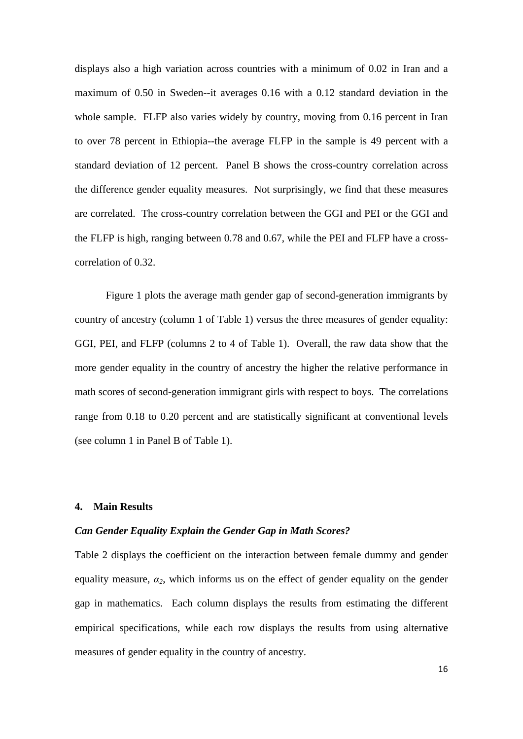displays also a high variation across countries with a minimum of 0.02 in Iran and a maximum of 0.50 in Sweden--it averages 0.16 with a 0.12 standard deviation in the whole sample. FLFP also varies widely by country, moving from 0.16 percent in Iran to over 78 percent in Ethiopia--the average FLFP in the sample is 49 percent with a standard deviation of 12 percent. Panel B shows the cross-country correlation across the difference gender equality measures. Not surprisingly, we find that these measures are correlated. The cross-country correlation between the GGI and PEI or the GGI and the FLFP is high, ranging between 0.78 and 0.67, while the PEI and FLFP have a crosscorrelation of 0.32.

 Figure 1 plots the average math gender gap of second-generation immigrants by country of ancestry (column 1 of Table 1) versus the three measures of gender equality: GGI, PEI, and FLFP (columns 2 to 4 of Table 1). Overall, the raw data show that the more gender equality in the country of ancestry the higher the relative performance in math scores of second-generation immigrant girls with respect to boys. The correlations range from 0.18 to 0.20 percent and are statistically significant at conventional levels (see column 1 in Panel B of Table 1).

## **4. Main Results**

#### *Can Gender Equality Explain the Gender Gap in Math Scores?*

Table 2 displays the coefficient on the interaction between female dummy and gender equality measure,  $\alpha_2$ , which informs us on the effect of gender equality on the gender gap in mathematics. Each column displays the results from estimating the different empirical specifications, while each row displays the results from using alternative measures of gender equality in the country of ancestry.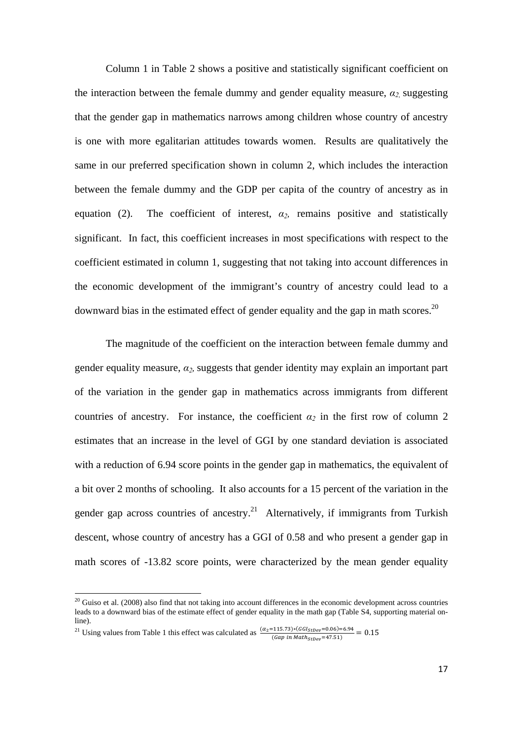Column 1 in Table 2 shows a positive and statistically significant coefficient on the interaction between the female dummy and gender equality measure,  $\alpha_2$  suggesting that the gender gap in mathematics narrows among children whose country of ancestry is one with more egalitarian attitudes towards women. Results are qualitatively the same in our preferred specification shown in column 2, which includes the interaction between the female dummy and the GDP per capita of the country of ancestry as in equation (2). The coefficient of interest,  $\alpha_2$ , remains positive and statistically significant. In fact, this coefficient increases in most specifications with respect to the coefficient estimated in column 1, suggesting that not taking into account differences in the economic development of the immigrant's country of ancestry could lead to a downward bias in the estimated effect of gender equality and the gap in math scores.<sup>20</sup>

The magnitude of the coefficient on the interaction between female dummy and gender equality measure,  $\alpha_2$ , suggests that gender identity may explain an important part of the variation in the gender gap in mathematics across immigrants from different countries of ancestry. For instance, the coefficient  $\alpha_2$  in the first row of column 2 estimates that an increase in the level of GGI by one standard deviation is associated with a reduction of 6.94 score points in the gender gap in mathematics, the equivalent of a bit over 2 months of schooling. It also accounts for a 15 percent of the variation in the gender gap across countries of ancestry.<sup>21</sup> Alternatively, if immigrants from Turkish descent, whose country of ancestry has a GGI of 0.58 and who present a gender gap in math scores of -13.82 score points, were characterized by the mean gender equality

 $20$  Guiso et al. (2008) also find that not taking into account differences in the economic development across countries leads to a downward bias of the estimate effect of gender equality in the math gap (Table S4, supporting material online).

<sup>&</sup>lt;sup>21</sup> Using values from Table 1 this effect was calculated as  $\frac{(\alpha_2 = 115.73)*(GGI_{StDev} = 0.06) = 6.94}{(Gap in Math_{StDev} = 47.51)} = 0.15$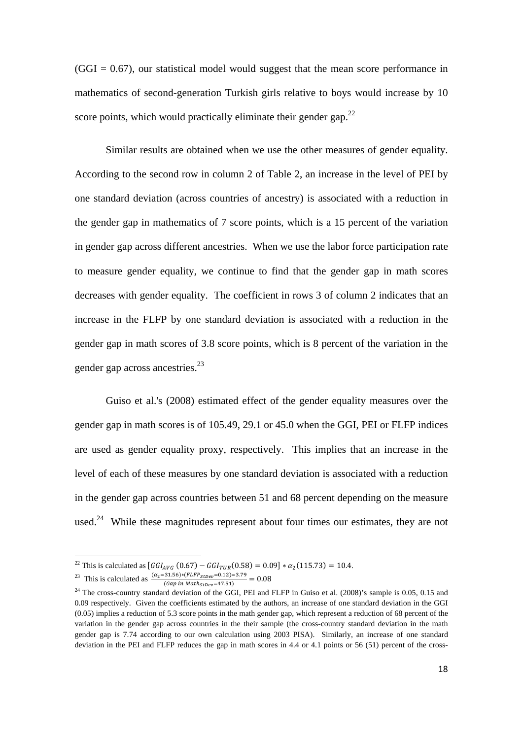$(GGI = 0.67)$ , our statistical model would suggest that the mean score performance in mathematics of second-generation Turkish girls relative to boys would increase by 10 score points, which would practically eliminate their gender gap. $^{22}$ 

 Similar results are obtained when we use the other measures of gender equality. According to the second row in column 2 of Table 2, an increase in the level of PEI by one standard deviation (across countries of ancestry) is associated with a reduction in the gender gap in mathematics of 7 score points, which is a 15 percent of the variation in gender gap across different ancestries. When we use the labor force participation rate to measure gender equality, we continue to find that the gender gap in math scores decreases with gender equality. The coefficient in rows 3 of column 2 indicates that an increase in the FLFP by one standard deviation is associated with a reduction in the gender gap in math scores of 3.8 score points, which is 8 percent of the variation in the gender gap across ancestries.<sup>23</sup>

Guiso et al.'s (2008) estimated effect of the gender equality measures over the gender gap in math scores is of 105.49, 29.1 or 45.0 when the GGI, PEI or FLFP indices are used as gender equality proxy, respectively. This implies that an increase in the level of each of these measures by one standard deviation is associated with a reduction in the gender gap across countries between 51 and 68 percent depending on the measure used.<sup>24</sup> While these magnitudes represent about four times our estimates, they are not

<sup>&</sup>lt;sup>22</sup> This is calculated as  $[GGI_{AVG} (0.67) - GGI_{TIR}(0.58) = 0.09] * \alpha_2(115.73) = 10.4$ .

<sup>&</sup>lt;sup>23</sup> This is calculated as  $\frac{(\alpha_2 = 31.56) * (FLFP_{StDev} = 0.12) = 3.79}{(Gap in Math_{StDev} = 47.51)} = 0.08$ 

 $24$  The cross-country standard deviation of the GGI, PEI and FLFP in Guiso et al. (2008)'s sample is 0.05, 0.15 and 0.09 respectively. Given the coefficients estimated by the authors, an increase of one standard deviation in the GGI  $(0.05)$  implies a reduction of 5.3 score points in the math gender gap, which represent a reduction of 68 percent of the variation in the gender gap across countries in the their sample (the cross-country standard deviation in the math gender gap is 7.74 according to our own calculation using 2003 PISA). Similarly, an increase of one standard deviation in the PEI and FLFP reduces the gap in math scores in 4.4 or 4.1 points or 56 (51) percent of the cross-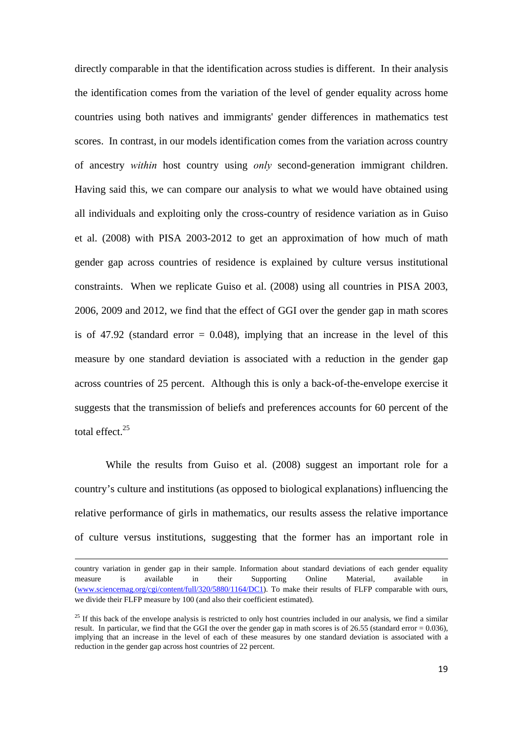directly comparable in that the identification across studies is different. In their analysis the identification comes from the variation of the level of gender equality across home countries using both natives and immigrants' gender differences in mathematics test scores. In contrast, in our models identification comes from the variation across country of ancestry *within* host country using *only* second-generation immigrant children. Having said this, we can compare our analysis to what we would have obtained using all individuals and exploiting only the cross-country of residence variation as in Guiso et al. (2008) with PISA 2003-2012 to get an approximation of how much of math gender gap across countries of residence is explained by culture versus institutional constraints. When we replicate Guiso et al. (2008) using all countries in PISA 2003, 2006, 2009 and 2012, we find that the effect of GGI over the gender gap in math scores is of 47.92 (standard error  $= 0.048$ ), implying that an increase in the level of this measure by one standard deviation is associated with a reduction in the gender gap across countries of 25 percent. Although this is only a back-of-the-envelope exercise it suggests that the transmission of beliefs and preferences accounts for 60 percent of the total effect $^{25}$ 

While the results from Guiso et al. (2008) suggest an important role for a country's culture and institutions (as opposed to biological explanations) influencing the relative performance of girls in mathematics, our results assess the relative importance of culture versus institutions, suggesting that the former has an important role in

country variation in gender gap in their sample. Information about standard deviations of each gender equality measure is available in their Supporting Online Material, available in (www.sciencemag.org/cgi/content/full/320/5880/1164/DC1). To make their results of FLFP comparable with ours, we divide their FLFP measure by 100 (and also their coefficient estimated).

 $25$  If this back of the envelope analysis is restricted to only host countries included in our analysis, we find a similar result. In particular, we find that the GGI the over the gender gap in math scores is of 26.55 (standard error = 0.036), implying that an increase in the level of each of these measures by one standard deviation is associated with a reduction in the gender gap across host countries of 22 percent.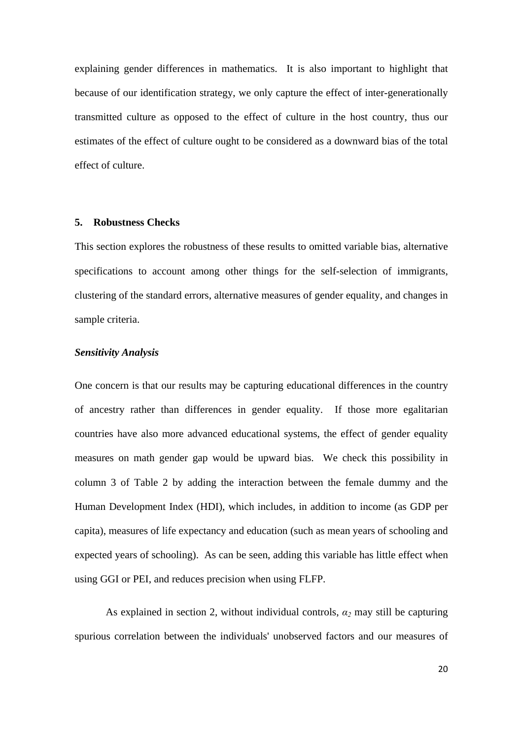explaining gender differences in mathematics. It is also important to highlight that because of our identification strategy, we only capture the effect of inter-generationally transmitted culture as opposed to the effect of culture in the host country, thus our estimates of the effect of culture ought to be considered as a downward bias of the total effect of culture.

## **5. Robustness Checks**

This section explores the robustness of these results to omitted variable bias, alternative specifications to account among other things for the self-selection of immigrants, clustering of the standard errors, alternative measures of gender equality, and changes in sample criteria.

### *Sensitivity Analysis*

One concern is that our results may be capturing educational differences in the country of ancestry rather than differences in gender equality. If those more egalitarian countries have also more advanced educational systems, the effect of gender equality measures on math gender gap would be upward bias. We check this possibility in column 3 of Table 2 by adding the interaction between the female dummy and the Human Development Index (HDI), which includes, in addition to income (as GDP per capita), measures of life expectancy and education (such as mean years of schooling and expected years of schooling). As can be seen, adding this variable has little effect when using GGI or PEI, and reduces precision when using FLFP.

 As explained in section 2, without individual controls, *α2* may still be capturing spurious correlation between the individuals' unobserved factors and our measures of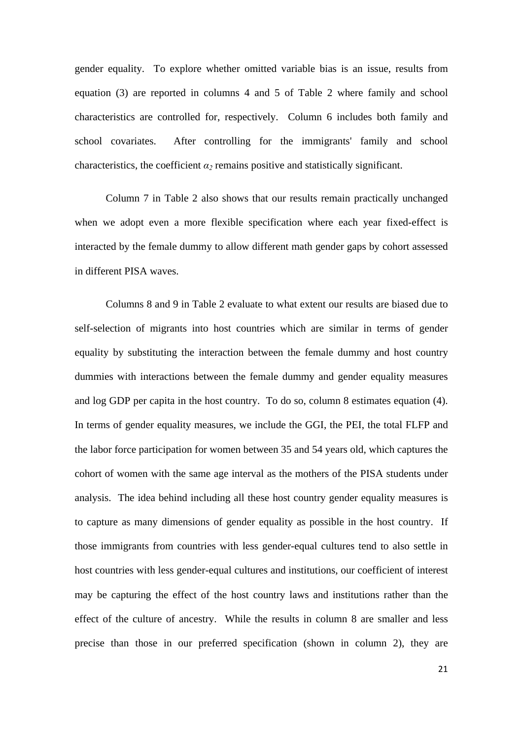gender equality. To explore whether omitted variable bias is an issue, results from equation (3) are reported in columns 4 and 5 of Table 2 where family and school characteristics are controlled for, respectively. Column 6 includes both family and school covariates. After controlling for the immigrants' family and school characteristics, the coefficient  $\alpha_2$  remains positive and statistically significant.

 Column 7 in Table 2 also shows that our results remain practically unchanged when we adopt even a more flexible specification where each year fixed-effect is interacted by the female dummy to allow different math gender gaps by cohort assessed in different PISA waves.

Columns 8 and 9 in Table 2 evaluate to what extent our results are biased due to self-selection of migrants into host countries which are similar in terms of gender equality by substituting the interaction between the female dummy and host country dummies with interactions between the female dummy and gender equality measures and log GDP per capita in the host country. To do so, column 8 estimates equation (4). In terms of gender equality measures, we include the GGI, the PEI, the total FLFP and the labor force participation for women between 35 and 54 years old, which captures the cohort of women with the same age interval as the mothers of the PISA students under analysis. The idea behind including all these host country gender equality measures is to capture as many dimensions of gender equality as possible in the host country. If those immigrants from countries with less gender-equal cultures tend to also settle in host countries with less gender-equal cultures and institutions, our coefficient of interest may be capturing the effect of the host country laws and institutions rather than the effect of the culture of ancestry. While the results in column 8 are smaller and less precise than those in our preferred specification (shown in column 2), they are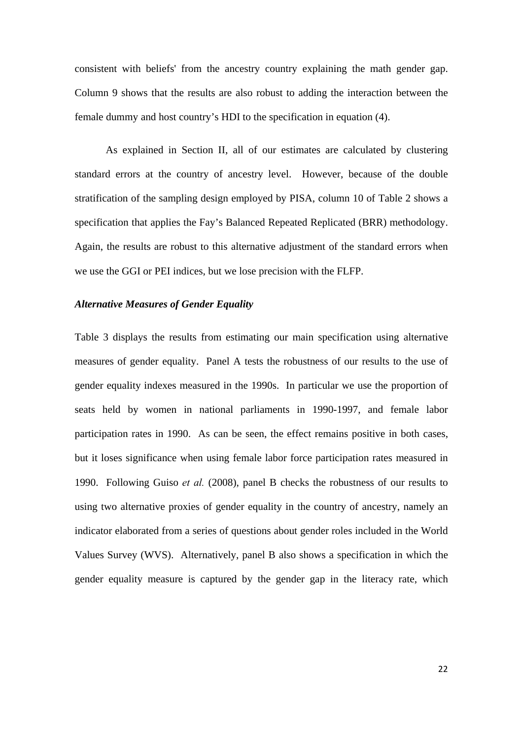consistent with beliefs' from the ancestry country explaining the math gender gap. Column 9 shows that the results are also robust to adding the interaction between the female dummy and host country's HDI to the specification in equation (4).

As explained in Section II, all of our estimates are calculated by clustering standard errors at the country of ancestry level. However, because of the double stratification of the sampling design employed by PISA, column 10 of Table 2 shows a specification that applies the Fay's Balanced Repeated Replicated (BRR) methodology. Again, the results are robust to this alternative adjustment of the standard errors when we use the GGI or PEI indices, but we lose precision with the FLFP.

## *Alternative Measures of Gender Equality*

Table 3 displays the results from estimating our main specification using alternative measures of gender equality. Panel A tests the robustness of our results to the use of gender equality indexes measured in the 1990s. In particular we use the proportion of seats held by women in national parliaments in 1990-1997, and female labor participation rates in 1990. As can be seen, the effect remains positive in both cases, but it loses significance when using female labor force participation rates measured in 1990. Following Guiso *et al.* (2008), panel B checks the robustness of our results to using two alternative proxies of gender equality in the country of ancestry, namely an indicator elaborated from a series of questions about gender roles included in the World Values Survey (WVS). Alternatively, panel B also shows a specification in which the gender equality measure is captured by the gender gap in the literacy rate, which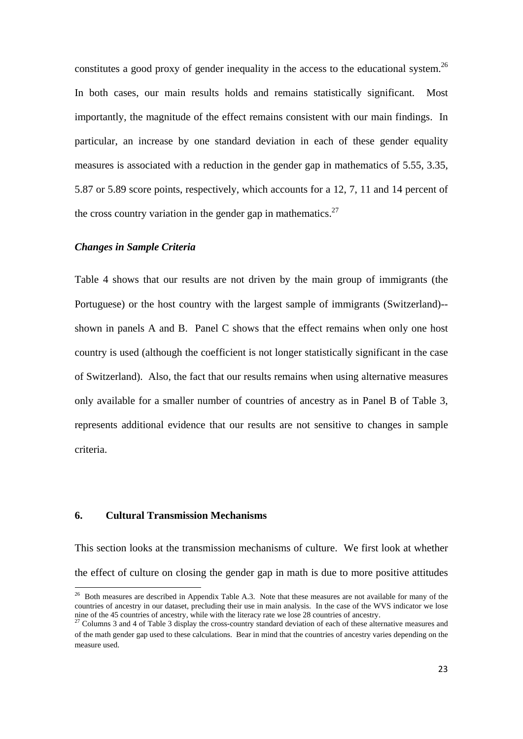constitutes a good proxy of gender inequality in the access to the educational system.<sup>26</sup> In both cases, our main results holds and remains statistically significant. Most importantly, the magnitude of the effect remains consistent with our main findings. In particular, an increase by one standard deviation in each of these gender equality measures is associated with a reduction in the gender gap in mathematics of 5.55, 3.35, 5.87 or 5.89 score points, respectively, which accounts for a 12, 7, 11 and 14 percent of the cross country variation in the gender gap in mathematics.<sup>27</sup>

## *Changes in Sample Criteria*

Table 4 shows that our results are not driven by the main group of immigrants (the Portuguese) or the host country with the largest sample of immigrants (Switzerland)- shown in panels A and B. Panel C shows that the effect remains when only one host country is used (although the coefficient is not longer statistically significant in the case of Switzerland). Also, the fact that our results remains when using alternative measures only available for a smaller number of countries of ancestry as in Panel B of Table 3, represents additional evidence that our results are not sensitive to changes in sample criteria.

## **6. Cultural Transmission Mechanisms**

1

This section looks at the transmission mechanisms of culture. We first look at whether the effect of culture on closing the gender gap in math is due to more positive attitudes

<sup>&</sup>lt;sup>26</sup> Both measures are described in Appendix Table A.3. Note that these measures are not available for many of the countries of ancestry in our dataset, precluding their use in main analysis. In the case of the WVS indicator we lose nine of the 45 countries of ancestry, while with the literacy rate we lose 28 countries of ancestry.<br><sup>27</sup> Columns 3 and 4 of Table 3 display the cross-country standard deviation of each of these alternative measures and

of the math gender gap used to these calculations. Bear in mind that the countries of ancestry varies depending on the measure used.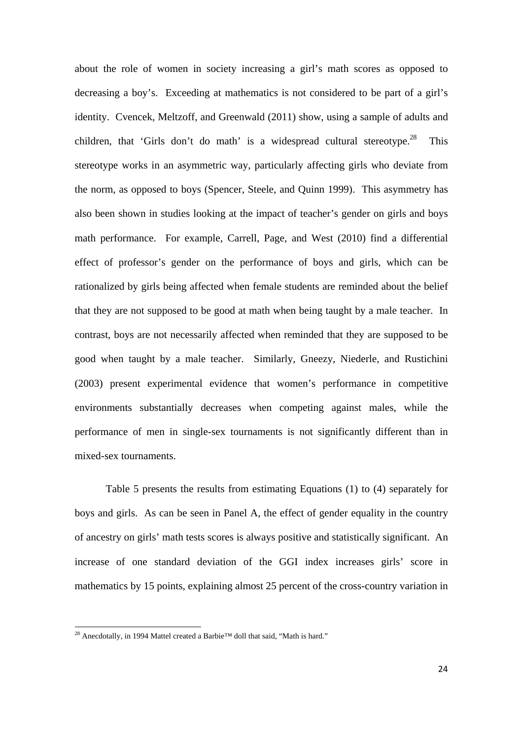about the role of women in society increasing a girl's math scores as opposed to decreasing a boy's. Exceeding at mathematics is not considered to be part of a girl's identity. Cvencek, Meltzoff, and Greenwald (2011) show, using a sample of adults and children, that 'Girls don't do math' is a widespread cultural stereotype.<sup>28</sup> This stereotype works in an asymmetric way, particularly affecting girls who deviate from the norm, as opposed to boys (Spencer, Steele, and Quinn 1999). This asymmetry has also been shown in studies looking at the impact of teacher's gender on girls and boys math performance. For example, Carrell, Page, and West (2010) find a differential effect of professor's gender on the performance of boys and girls, which can be rationalized by girls being affected when female students are reminded about the belief that they are not supposed to be good at math when being taught by a male teacher. In contrast, boys are not necessarily affected when reminded that they are supposed to be good when taught by a male teacher. Similarly, Gneezy, Niederle, and Rustichini (2003) present experimental evidence that women's performance in competitive environments substantially decreases when competing against males, while the performance of men in single-sex tournaments is not significantly different than in mixed-sex tournaments.

Table 5 presents the results from estimating Equations (1) to (4) separately for boys and girls. As can be seen in Panel A, the effect of gender equality in the country of ancestry on girls' math tests scores is always positive and statistically significant. An increase of one standard deviation of the GGI index increases girls' score in mathematics by 15 points, explaining almost 25 percent of the cross-country variation in

<sup>&</sup>lt;sup>28</sup> Anecdotally, in 1994 Mattel created a Barbie<sup>™</sup> doll that said, "Math is hard."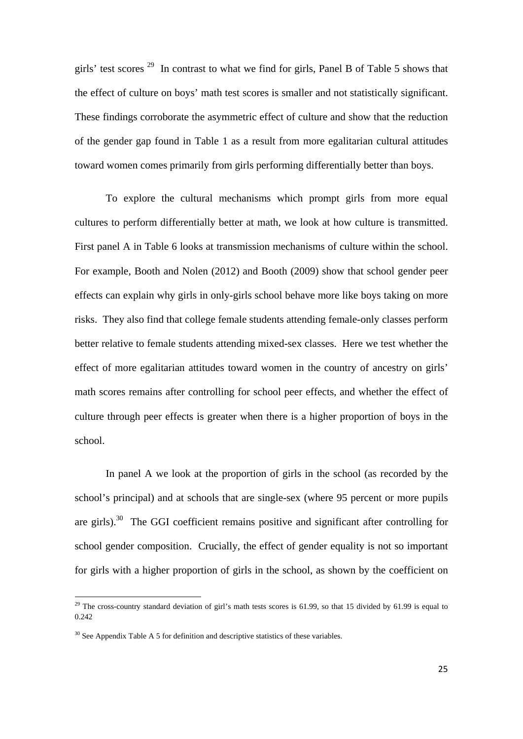girls' test scores  $29$  In contrast to what we find for girls, Panel B of Table 5 shows that the effect of culture on boys' math test scores is smaller and not statistically significant. These findings corroborate the asymmetric effect of culture and show that the reduction of the gender gap found in Table 1 as a result from more egalitarian cultural attitudes toward women comes primarily from girls performing differentially better than boys.

To explore the cultural mechanisms which prompt girls from more equal cultures to perform differentially better at math, we look at how culture is transmitted. First panel A in Table 6 looks at transmission mechanisms of culture within the school. For example, Booth and Nolen (2012) and Booth (2009) show that school gender peer effects can explain why girls in only-girls school behave more like boys taking on more risks. They also find that college female students attending female-only classes perform better relative to female students attending mixed-sex classes. Here we test whether the effect of more egalitarian attitudes toward women in the country of ancestry on girls' math scores remains after controlling for school peer effects, and whether the effect of culture through peer effects is greater when there is a higher proportion of boys in the school.

In panel A we look at the proportion of girls in the school (as recorded by the school's principal) and at schools that are single-sex (where 95 percent or more pupils are girls).30 The GGI coefficient remains positive and significant after controlling for school gender composition. Crucially, the effect of gender equality is not so important for girls with a higher proportion of girls in the school, as shown by the coefficient on

<sup>&</sup>lt;sup>29</sup> The cross-country standard deviation of girl's math tests scores is 61.99, so that 15 divided by 61.99 is equal to 0.242

 $30$  See Appendix Table A 5 for definition and descriptive statistics of these variables.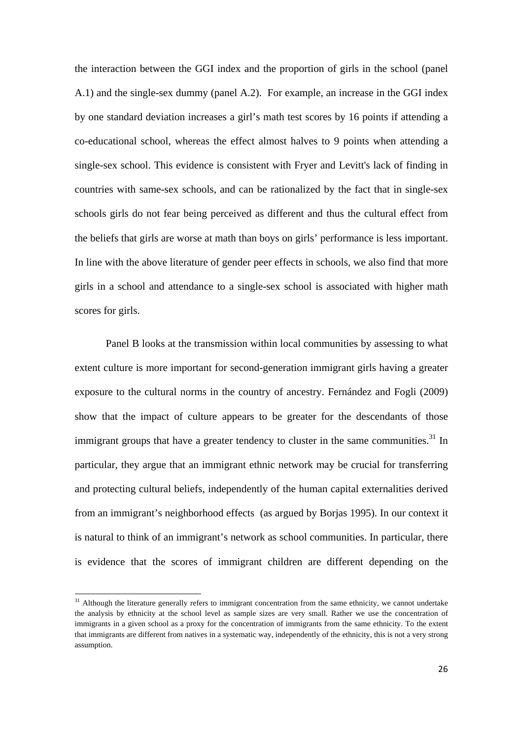the interaction between the GGI index and the proportion of girls in the school (panel A.1) and the single-sex dummy (panel A.2). For example, an increase in the GGI index by one standard deviation increases a girl's math test scores by 16 points if attending a co-educational school, whereas the effect almost halves to 9 points when attending a single-sex school. This evidence is consistent with Fryer and Levitt's lack of finding in countries with same-sex schools, and can be rationalized by the fact that in single-sex schools girls do not fear being perceived as different and thus the cultural effect from the beliefs that girls are worse at math than boys on girls' performance is less important. In line with the above literature of gender peer effects in schools, we also find that more girls in a school and attendance to a single-sex school is associated with higher math scores for girls.

Panel B looks at the transmission within local communities by assessing to what extent culture is more important for second-generation immigrant girls having a greater exposure to the cultural norms in the country of ancestry. Fernández and Fogli (2009) show that the impact of culture appears to be greater for the descendants of those immigrant groups that have a greater tendency to cluster in the same communities.<sup>31</sup> In particular, they argue that an immigrant ethnic network may be crucial for transferring and protecting cultural beliefs, independently of the human capital externalities derived from an immigrant's neighborhood effects (as argued by Borjas 1995). In our context it is natural to think of an immigrant's network as school communities. In particular, there is evidence that the scores of immigrant children are different depending on the

<sup>&</sup>lt;sup>31</sup> Although the literature generally refers to immigrant concentration from the same ethnicity, we cannot undertake the analysis by ethnicity at the school level as sample sizes are very small. Rather we use the concentration of immigrants in a given school as a proxy for the concentration of immigrants from the same ethnicity. To the extent that immigrants are different from natives in a systematic way, independently of the ethnicity, this is not a very strong assumption.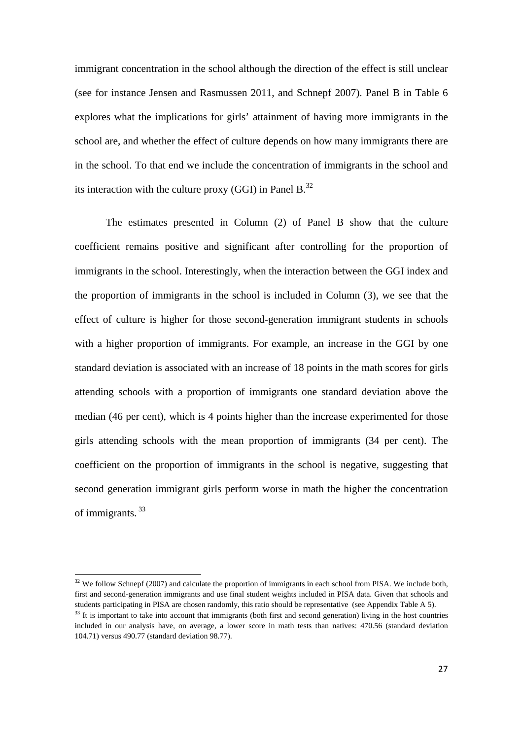immigrant concentration in the school although the direction of the effect is still unclear (see for instance Jensen and Rasmussen 2011, and Schnepf 2007). Panel B in Table 6 explores what the implications for girls' attainment of having more immigrants in the school are, and whether the effect of culture depends on how many immigrants there are in the school. To that end we include the concentration of immigrants in the school and its interaction with the culture proxy (GGI) in Panel  $B<sup>32</sup>$ .

The estimates presented in Column (2) of Panel B show that the culture coefficient remains positive and significant after controlling for the proportion of immigrants in the school. Interestingly, when the interaction between the GGI index and the proportion of immigrants in the school is included in Column (3), we see that the effect of culture is higher for those second-generation immigrant students in schools with a higher proportion of immigrants. For example, an increase in the GGI by one standard deviation is associated with an increase of 18 points in the math scores for girls attending schools with a proportion of immigrants one standard deviation above the median (46 per cent), which is 4 points higher than the increase experimented for those girls attending schools with the mean proportion of immigrants (34 per cent). The coefficient on the proportion of immigrants in the school is negative, suggesting that second generation immigrant girls perform worse in math the higher the concentration of immigrants. 33

 $32$  We follow Schnepf (2007) and calculate the proportion of immigrants in each school from PISA. We include both, first and second-generation immigrants and use final student weights included in PISA data. Given that schools and students participating in PISA are chosen randomly, this ratio should be representative (see Appendix Table A 5).<br><sup>33</sup> It is important to take into account that immigrants (both first and second generation) living in the h

included in our analysis have, on average, a lower score in math tests than natives: 470.56 (standard deviation 104.71) versus 490.77 (standard deviation 98.77).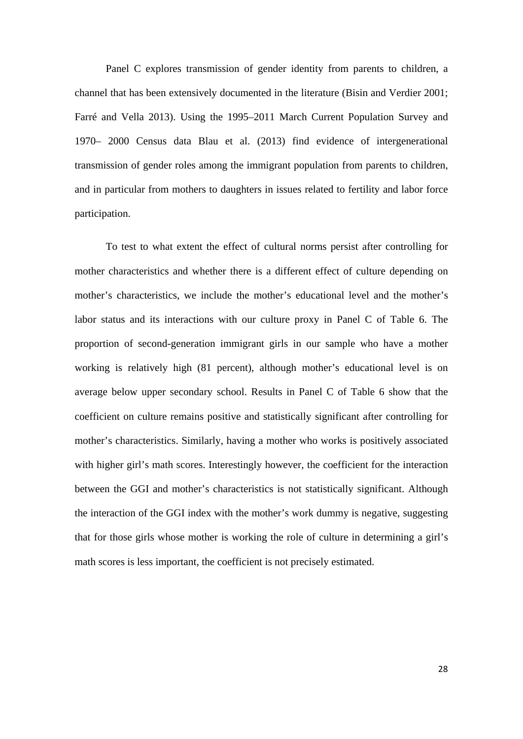Panel C explores transmission of gender identity from parents to children, a channel that has been extensively documented in the literature (Bisin and Verdier 2001; Farré and Vella 2013). Using the 1995–2011 March Current Population Survey and 1970– 2000 Census data Blau et al. (2013) find evidence of intergenerational transmission of gender roles among the immigrant population from parents to children, and in particular from mothers to daughters in issues related to fertility and labor force participation.

To test to what extent the effect of cultural norms persist after controlling for mother characteristics and whether there is a different effect of culture depending on mother's characteristics, we include the mother's educational level and the mother's labor status and its interactions with our culture proxy in Panel C of Table 6. The proportion of second-generation immigrant girls in our sample who have a mother working is relatively high (81 percent), although mother's educational level is on average below upper secondary school. Results in Panel C of Table 6 show that the coefficient on culture remains positive and statistically significant after controlling for mother's characteristics. Similarly, having a mother who works is positively associated with higher girl's math scores. Interestingly however, the coefficient for the interaction between the GGI and mother's characteristics is not statistically significant. Although the interaction of the GGI index with the mother's work dummy is negative, suggesting that for those girls whose mother is working the role of culture in determining a girl's math scores is less important, the coefficient is not precisely estimated.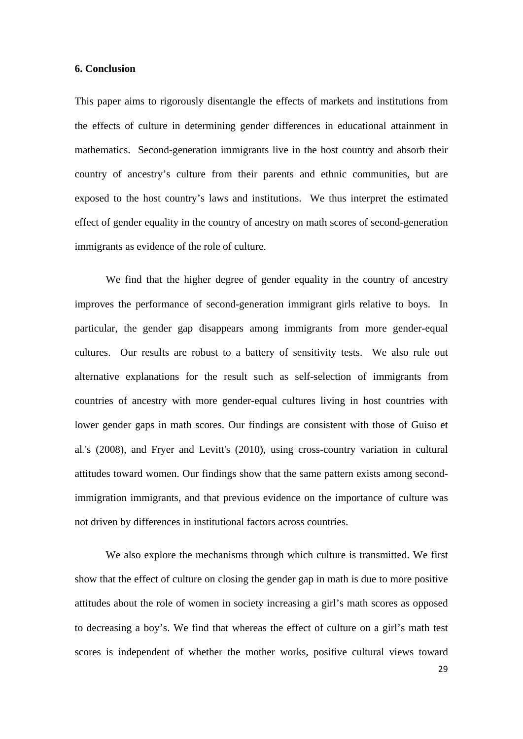#### **6. Conclusion**

This paper aims to rigorously disentangle the effects of markets and institutions from the effects of culture in determining gender differences in educational attainment in mathematics. Second-generation immigrants live in the host country and absorb their country of ancestry's culture from their parents and ethnic communities, but are exposed to the host country's laws and institutions. We thus interpret the estimated effect of gender equality in the country of ancestry on math scores of second-generation immigrants as evidence of the role of culture.

 We find that the higher degree of gender equality in the country of ancestry improves the performance of second-generation immigrant girls relative to boys. In particular, the gender gap disappears among immigrants from more gender-equal cultures. Our results are robust to a battery of sensitivity tests. We also rule out alternative explanations for the result such as self-selection of immigrants from countries of ancestry with more gender-equal cultures living in host countries with lower gender gaps in math scores. Our findings are consistent with those of Guiso et al*.*'s (2008), and Fryer and Levitt's (2010), using cross-country variation in cultural attitudes toward women. Our findings show that the same pattern exists among secondimmigration immigrants, and that previous evidence on the importance of culture was not driven by differences in institutional factors across countries.

 We also explore the mechanisms through which culture is transmitted. We first show that the effect of culture on closing the gender gap in math is due to more positive attitudes about the role of women in society increasing a girl's math scores as opposed to decreasing a boy's. We find that whereas the effect of culture on a girl's math test scores is independent of whether the mother works, positive cultural views toward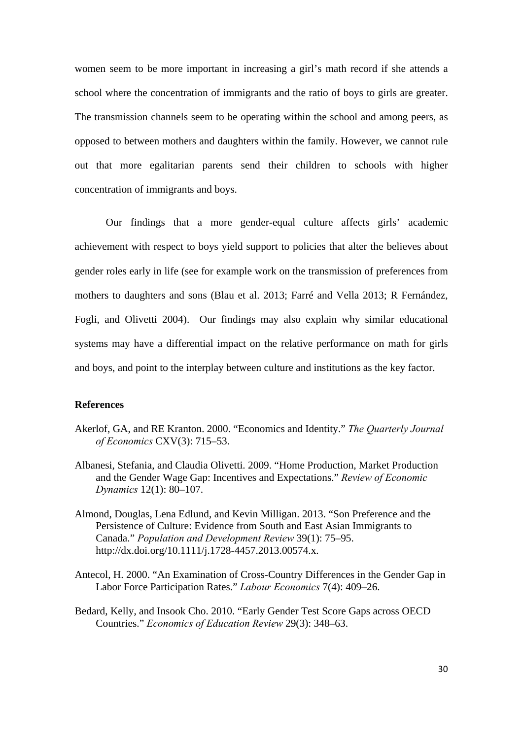women seem to be more important in increasing a girl's math record if she attends a school where the concentration of immigrants and the ratio of boys to girls are greater. The transmission channels seem to be operating within the school and among peers, as opposed to between mothers and daughters within the family. However, we cannot rule out that more egalitarian parents send their children to schools with higher concentration of immigrants and boys.

Our findings that a more gender-equal culture affects girls' academic achievement with respect to boys yield support to policies that alter the believes about gender roles early in life (see for example work on the transmission of preferences from mothers to daughters and sons (Blau et al. 2013; Farré and Vella 2013; R Fernández, Fogli, and Olivetti 2004). Our findings may also explain why similar educational systems may have a differential impact on the relative performance on math for girls and boys, and point to the interplay between culture and institutions as the key factor.

### **References**

- Akerlof, GA, and RE Kranton. 2000. "Economics and Identity." *The Quarterly Journal of Economics* CXV(3): 715–53.
- Albanesi, Stefania, and Claudia Olivetti. 2009. "Home Production, Market Production and the Gender Wage Gap: Incentives and Expectations." *Review of Economic Dynamics* 12(1): 80–107.
- Almond, Douglas, Lena Edlund, and Kevin Milligan. 2013. "Son Preference and the Persistence of Culture: Evidence from South and East Asian Immigrants to Canada." *Population and Development Review* 39(1): 75–95. http://dx.doi.org/10.1111/j.1728-4457.2013.00574.x.
- Antecol, H. 2000. "An Examination of Cross-Country Differences in the Gender Gap in Labor Force Participation Rates." *Labour Economics* 7(4): 409–26.
- Bedard, Kelly, and Insook Cho. 2010. "Early Gender Test Score Gaps across OECD Countries." *Economics of Education Review* 29(3): 348–63.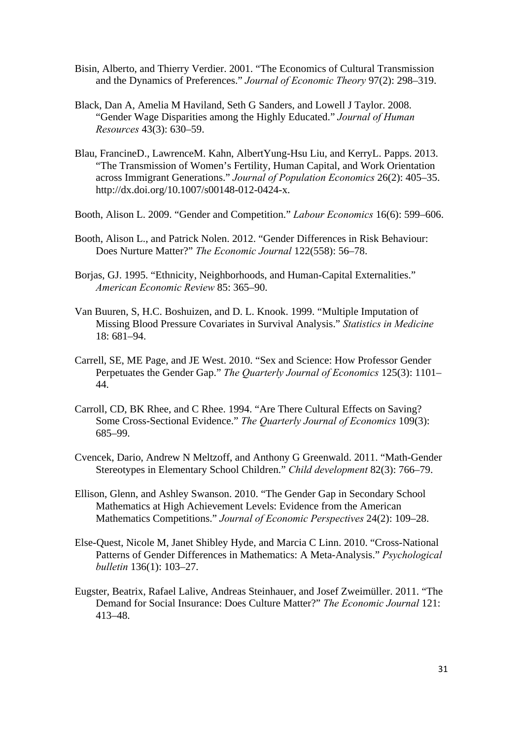- Bisin, Alberto, and Thierry Verdier. 2001. "The Economics of Cultural Transmission and the Dynamics of Preferences." *Journal of Economic Theory* 97(2): 298–319.
- Black, Dan A, Amelia M Haviland, Seth G Sanders, and Lowell J Taylor. 2008. "Gender Wage Disparities among the Highly Educated." *Journal of Human Resources* 43(3): 630–59.
- Blau, FrancineD., LawrenceM. Kahn, AlbertYung-Hsu Liu, and KerryL. Papps. 2013. "The Transmission of Women's Fertility, Human Capital, and Work Orientation across Immigrant Generations." *Journal of Population Economics* 26(2): 405–35. http://dx.doi.org/10.1007/s00148-012-0424-x.
- Booth, Alison L. 2009. "Gender and Competition." *Labour Economics* 16(6): 599–606.
- Booth, Alison L., and Patrick Nolen. 2012. "Gender Differences in Risk Behaviour: Does Nurture Matter?" *The Economic Journal* 122(558): 56–78.
- Borias, GJ. 1995. "Ethnicity, Neighborhoods, and Human-Capital Externalities." *American Economic Review* 85: 365–90.
- Van Buuren, S, H.C. Boshuizen, and D. L. Knook. 1999. "Multiple Imputation of Missing Blood Pressure Covariates in Survival Analysis." *Statistics in Medicine* 18: 681–94.
- Carrell, SE, ME Page, and JE West. 2010. "Sex and Science: How Professor Gender Perpetuates the Gender Gap." *The Quarterly Journal of Economics* 125(3): 1101– 44.
- Carroll, CD, BK Rhee, and C Rhee. 1994. "Are There Cultural Effects on Saving? Some Cross-Sectional Evidence." *The Quarterly Journal of Economics* 109(3): 685–99.
- Cvencek, Dario, Andrew N Meltzoff, and Anthony G Greenwald. 2011. "Math-Gender Stereotypes in Elementary School Children." *Child development* 82(3): 766–79.
- Ellison, Glenn, and Ashley Swanson. 2010. "The Gender Gap in Secondary School Mathematics at High Achievement Levels: Evidence from the American Mathematics Competitions." *Journal of Economic Perspectives* 24(2): 109–28.
- Else-Quest, Nicole M, Janet Shibley Hyde, and Marcia C Linn. 2010. "Cross-National Patterns of Gender Differences in Mathematics: A Meta-Analysis." *Psychological bulletin* 136(1): 103–27.
- Eugster, Beatrix, Rafael Lalive, Andreas Steinhauer, and Josef Zweimüller. 2011. "The Demand for Social Insurance: Does Culture Matter?" *The Economic Journal* 121: 413–48.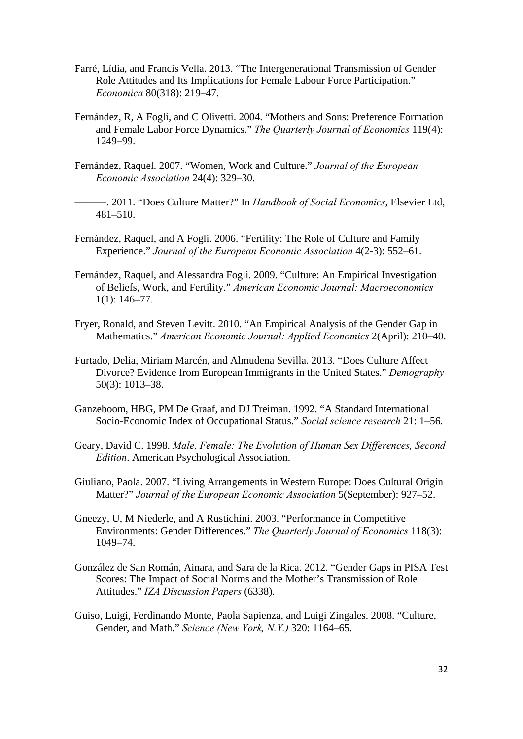- Farré, Lídia, and Francis Vella. 2013. "The Intergenerational Transmission of Gender Role Attitudes and Its Implications for Female Labour Force Participation." *Economica* 80(318): 219–47.
- Fernández, R, A Fogli, and C Olivetti. 2004. "Mothers and Sons: Preference Formation and Female Labor Force Dynamics." *The Quarterly Journal of Economics* 119(4): 1249–99.
- Fernández, Raquel. 2007. "Women, Work and Culture." *Journal of the European Economic Association* 24(4): 329–30.

———. 2011. "Does Culture Matter?" In *Handbook of Social Economics*, Elsevier Ltd, 481–510.

- Fernández, Raquel, and A Fogli. 2006. "Fertility: The Role of Culture and Family Experience." *Journal of the European Economic Association* 4(2-3): 552–61.
- Fernández, Raquel, and Alessandra Fogli. 2009. "Culture: An Empirical Investigation of Beliefs, Work, and Fertility." *American Economic Journal: Macroeconomics* 1(1): 146–77.
- Fryer, Ronald, and Steven Levitt. 2010. "An Empirical Analysis of the Gender Gap in Mathematics." *American Economic Journal: Applied Economics* 2(April): 210–40.
- Furtado, Delia, Miriam Marcén, and Almudena Sevilla. 2013. "Does Culture Affect Divorce? Evidence from European Immigrants in the United States." *Demography* 50(3): 1013–38.
- Ganzeboom, HBG, PM De Graaf, and DJ Treiman. 1992. "A Standard International Socio-Economic Index of Occupational Status." *Social science research* 21: 1–56.
- Geary, David C. 1998. *Male, Female: The Evolution of Human Sex Differences, Second Edition*. American Psychological Association.
- Giuliano, Paola. 2007. "Living Arrangements in Western Europe: Does Cultural Origin Matter?" *Journal of the European Economic Association* 5(September): 927–52.
- Gneezy, U, M Niederle, and A Rustichini. 2003. "Performance in Competitive Environments: Gender Differences." *The Quarterly Journal of Economics* 118(3): 1049–74.
- González de San Román, Ainara, and Sara de la Rica. 2012. "Gender Gaps in PISA Test Scores: The Impact of Social Norms and the Mother's Transmission of Role Attitudes." *IZA Discussion Papers* (6338).
- Guiso, Luigi, Ferdinando Monte, Paola Sapienza, and Luigi Zingales. 2008. "Culture, Gender, and Math." *Science (New York, N.Y.)* 320: 1164–65.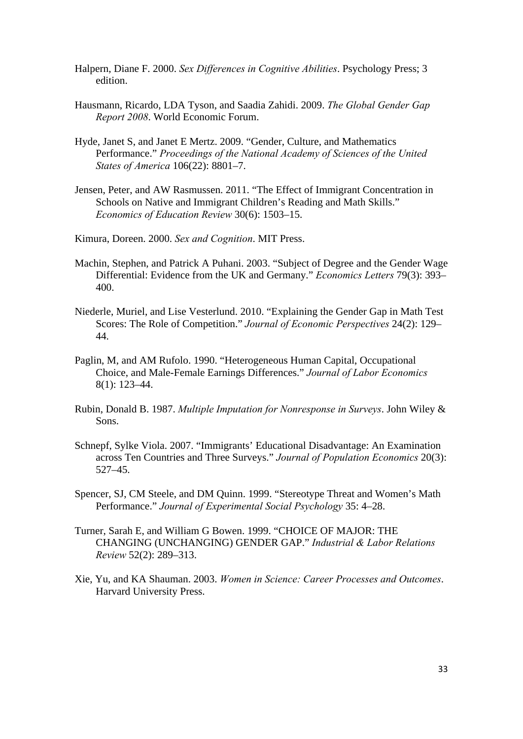- Halpern, Diane F. 2000. *Sex Differences in Cognitive Abilities*. Psychology Press; 3 edition.
- Hausmann, Ricardo, LDA Tyson, and Saadia Zahidi. 2009. *The Global Gender Gap Report 2008*. World Economic Forum.
- Hyde, Janet S, and Janet E Mertz. 2009. "Gender, Culture, and Mathematics Performance." *Proceedings of the National Academy of Sciences of the United States of America* 106(22): 8801–7.
- Jensen, Peter, and AW Rasmussen. 2011. "The Effect of Immigrant Concentration in Schools on Native and Immigrant Children's Reading and Math Skills." *Economics of Education Review* 30(6): 1503–15.

Kimura, Doreen. 2000. *Sex and Cognition*. MIT Press.

- Machin, Stephen, and Patrick A Puhani. 2003. "Subject of Degree and the Gender Wage Differential: Evidence from the UK and Germany." *Economics Letters* 79(3): 393– 400.
- Niederle, Muriel, and Lise Vesterlund. 2010. "Explaining the Gender Gap in Math Test Scores: The Role of Competition." *Journal of Economic Perspectives* 24(2): 129– 44.
- Paglin, M, and AM Rufolo. 1990. "Heterogeneous Human Capital, Occupational Choice, and Male-Female Earnings Differences." *Journal of Labor Economics* 8(1): 123–44.
- Rubin, Donald B. 1987. *Multiple Imputation for Nonresponse in Surveys*. John Wiley & Sons.
- Schnepf, Sylke Viola. 2007. "Immigrants' Educational Disadvantage: An Examination across Ten Countries and Three Surveys." *Journal of Population Economics* 20(3): 527–45.
- Spencer, SJ, CM Steele, and DM Quinn. 1999. "Stereotype Threat and Women's Math Performance." *Journal of Experimental Social Psychology* 35: 4–28.
- Turner, Sarah E, and William G Bowen. 1999. "CHOICE OF MAJOR: THE CHANGING (UNCHANGING) GENDER GAP." *Industrial & Labor Relations Review* 52(2): 289–313.
- Xie, Yu, and KA Shauman. 2003. *Women in Science: Career Processes and Outcomes*. Harvard University Press.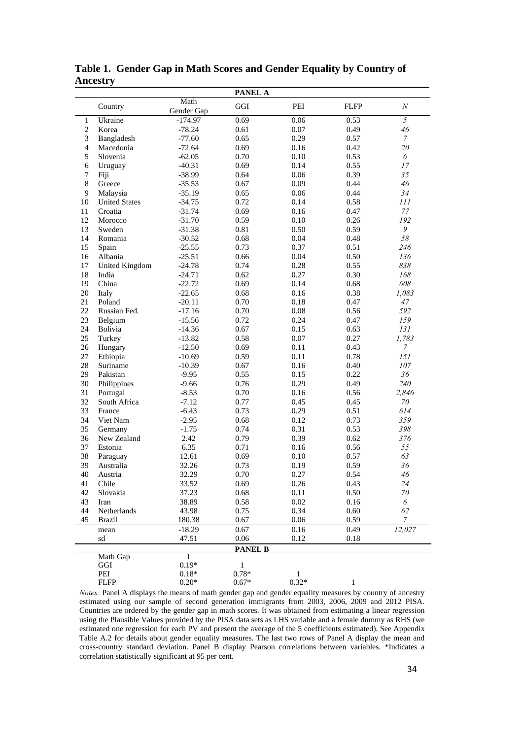|                |                       |                    | <b>PANEL A</b> |         |              |                  |
|----------------|-----------------------|--------------------|----------------|---------|--------------|------------------|
|                | Country               | Math<br>Gender Gap | GGI            | PEI     | <b>FLFP</b>  | $\boldsymbol{N}$ |
| 1              | Ukraine               | $-174.97$          | 0.69           | 0.06    | 0.53         | $\overline{5}$   |
| $\overline{2}$ | Korea                 | $-78.24$           | 0.61           | 0.07    | 0.49         | 46               |
| 3              | Bangladesh            | $-77.60$           | 0.65           | 0.29    | 0.57         | $\boldsymbol{7}$ |
| $\overline{4}$ | Macedonia             | $-72.64$           | 0.69           | 0.16    | 0.42         | 20               |
| 5              | Slovenia              | $-62.05$           | 0.70           | 0.10    | 0.53         | 6                |
| 6              | Uruguay               | $-40.31$           | 0.69           | 0.14    | 0.55         | 17               |
| 7              | Fiji                  | $-38.99$           | 0.64           | 0.06    | 0.39         | 35               |
| $\,$ 8 $\,$    | Greece                | $-35.53$           | 0.67           | 0.09    | 0.44         | 46               |
| 9              | Malaysia              | $-35.19$           | 0.65           | 0.06    | 0.44         | 34               |
| 10             | <b>United States</b>  | $-34.75$           | 0.72           | 0.14    | 0.58         | 111              |
| 11             | Croatia               | $-31.74$           | 0.69           | 0.16    | 0.47         | 77               |
| 12             | Morocco               | $-31.70$           | 0.59           | 0.10    | 0.26         | 192              |
| 13             | Sweden                | $-31.38$           | 0.81           | 0.50    | 0.59         | 9                |
| 14             | Romania               | $-30.52$           | 0.68           | 0.04    | 0.48         | 58               |
| 15             | Spain                 | $-25.55$           | 0.73           | 0.37    | 0.51         | 246              |
| 16             | Albania               | $-25.51$           | 0.66           | 0.04    | 0.50         | 136              |
| 17             | <b>United Kingdom</b> | $-24.78$           | 0.74           | 0.28    | 0.55         | 838              |
| 18             | India                 | $-24.71$           | 0.62           | 0.27    | 0.30         | 168              |
| 19             | China                 | $-22.72$           | 0.69           | 0.14    | 0.68         | 608              |
| 20             | Italy                 | $-22.65$           | 0.68           | 0.16    | 0.38         | 1,083            |
| 21             | Poland                | $-20.11$           | 0.70           | 0.18    | 0.47         | 47               |
| 22             | Russian Fed.          | $-17.16$           | 0.70           | 0.08    | 0.56         | 592              |
| 23             | Belgium               | $-15.56$           | 0.72           | 0.24    | 0.47         | 159              |
| 24             | Bolivia               | $-14.36$           | 0.67           | 0.15    | 0.63         | 131              |
| 25             | Turkey                | $-13.82$           | 0.58           | 0.07    | 0.27         | 1,783            |
| 26             | Hungary               | $-12.50$           | 0.69           | 0.11    | 0.43         | $\boldsymbol{7}$ |
| 27             | Ethiopia              | $-10.69$           | 0.59           | 0.11    | 0.78         | 151              |
| 28             | Suriname              | $-10.39$           | 0.67           | 0.16    | 0.40         | 107              |
| 29             | Pakistan              | $-9.95$            | 0.55           | 0.15    | 0.22         | 36               |
| 30             | Philippines           | $-9.66$            | 0.76           | 0.29    | 0.49         | 240              |
| 31             | Portugal              | $-8.53$            | 0.70           | 0.16    | 0.56         | 2,846            |
| 32             | South Africa          | $-7.12$            | 0.77           | 0.45    | 0.45         | $70\,$           |
| 33             | France                | $-6.43$            | 0.73           | 0.29    | 0.51         | 614              |
| 34             | Viet Nam              | $-2.95$            | 0.68           | 0.12    | 0.73         | 359              |
| 35             | Germany               | $-1.75$            | 0.74           | 0.31    | 0.53         | 398              |
| 36             | New Zealand           | 2.42               | 0.79           | 0.39    | 0.62         | 376              |
| 37             | Estonia               | 6.35               | 0.71           | 0.16    | 0.56         | 55               |
| 38             | Paraguay              | 12.61              | 0.69           | 0.10    | 0.57         | 63               |
| 39             | Australia             | 32.26              | 0.73           | 0.19    | 0.59         | 36               |
| 40             | Austria               | 32.29              | 0.70           | 0.27    | 0.54         | 46               |
| 41             | Chile                 | 33.52              | 0.69           | 0.26    | 0.43         | 24               |
| 42             | Slovakia              | 37.23              | 0.68           | 0.11    | 0.50         | 70               |
| 43             | Iran                  | 38.89              | 0.58           | 0.02    | 0.16         | 6                |
| 44             | Netherlands           | 43.98              | 0.75           | 0.34    | 0.60         | 62               |
| 45             | <b>Brazil</b>         | 180.38             | 0.67           | 0.06    | 0.59         | $\mathcal{I}$    |
|                |                       | $-18.29$           | 0.67           | 0.16    | 0.49         | 12,027           |
|                | mean<br>sd            | 47.51              | $0.06\,$       | 0.12    | 0.18         |                  |
|                |                       |                    | <b>PANEL B</b> |         |              |                  |
|                | Math Gap              | $\,1$              |                |         |              |                  |
|                | GGI                   | $0.19*$            | $\mathbf{1}$   |         |              |                  |
|                | PEI                   | $0.18*$            | $0.78*$        | 1       |              |                  |
|                | <b>FLFP</b>           | $0.20*$            | $0.67*$        | $0.32*$ | $\mathbf{1}$ |                  |

**Table 1. Gender Gap in Math Scores and Gender Equality by Country of Ancestry** 

*Notes:* Panel A displays the means of math gender gap and gender equality measures by country of ancestry estimated using our sample of second generation immigrants from 2003, 2006, 2009 and 2012 PISA. Countries are ordered by the gender gap in math scores. It was obtained from estimating a linear regression using the Plausible Values provided by the PISA data sets as LHS variable and a female dummy as RHS (we estimated one regression for each PV and present the average of the 5 coefficients estimated). See Appendix Table A.2 for details about gender equality measures. The last two rows of Panel A display the mean and cross-country standard deviation. Panel B display Pearson correlations between variables. \*Indicates a correlation statistically significant at 95 per cent.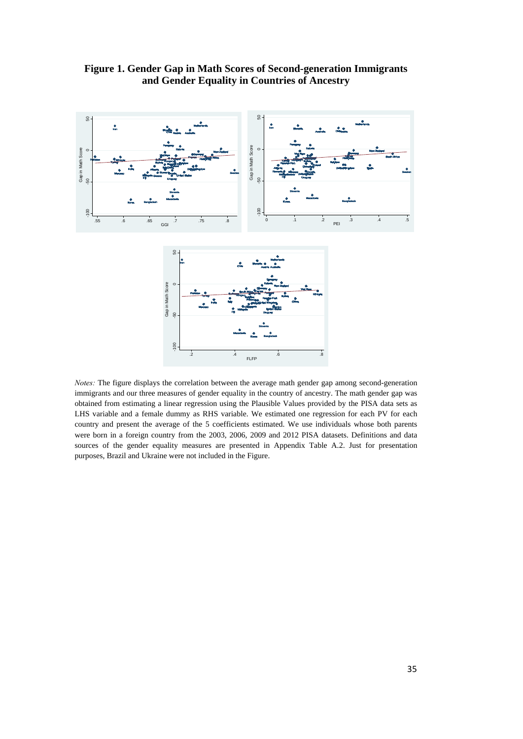

**Figure 1. Gender Gap in Math Scores of Second-generation Immigrants and Gender Equality in Countries of Ancestry** 

*Notes:* The figure displays the correlation between the average math gender gap among second-generation immigrants and our three measures of gender equality in the country of ancestry. The math gender gap was obtained from estimating a linear regression using the Plausible Values provided by the PISA data sets as LHS variable and a female dummy as RHS variable. We estimated one regression for each PV for each country and present the average of the 5 coefficients estimated. We use individuals whose both parents were born in a foreign country from the 2003, 2006, 2009 and 2012 PISA datasets. Definitions and data sources of the gender equality measures are presented in Appendix Table A.2. Just for presentation purposes, Brazil and Ukraine were not included in the Figure.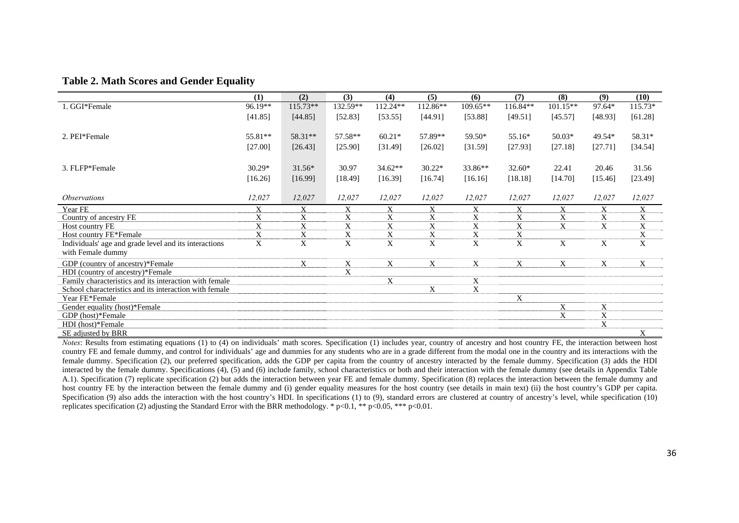#### **Table 2. Math Scores and Gender Equality**

|                                                        | (1)      | (2)        | (3)      | (4)      | (5)         | (6)      | (7)      | (8)        | (9)         | (10)        |
|--------------------------------------------------------|----------|------------|----------|----------|-------------|----------|----------|------------|-------------|-------------|
| 1. GGI*Female                                          | 96.19**  | $115.73**$ | 132.59** | 112.24** | 112.86**    | 109.65** | 116.84** | $101.15**$ | 97.64*      | 115.73*     |
|                                                        | [41.85]  | [44.85]    | [52.83]  | [53.55]  | [44.91]     | [53.88]  | [49.51]  | [45.57]    | [48.93]     | [61.28]     |
|                                                        |          |            |          |          |             |          |          |            |             |             |
| 2. PEI*Female                                          | 55.81**  | 58.31**    | 57.58**  | $60.21*$ | 57.89**     | 59.50*   | 55.16*   | $50.03*$   | 49.54*      | 58.31*      |
|                                                        | [27.00]  | [26.43]    | [25.90]  | [31.49]  | [26.02]     | [31.59]  | [27.93]  | [27.18]    | [27.71]     | [34.54]     |
|                                                        |          |            |          |          |             |          |          |            |             |             |
| 3. FLFP*Female                                         | $30.29*$ | $31.56*$   | 30.97    | 34.62**  | $30.22*$    | 33.86**  | $32.60*$ | 22.41      | 20.46       | 31.56       |
|                                                        | [16.26]  | [16.99]    | [18.49]  | [16.39]  | [16.74]     | [16.16]  | [18.18]  | [14.70]    | [15.46]     | [23.49]     |
|                                                        |          |            |          |          |             |          |          |            |             |             |
| <i><b>Observations</b></i>                             | 12,027   | 12,027     | 12,027   | 12,027   | 12,027      | 12,027   | 12,027   | 12,027     | 12,027      | 12,027      |
| Year FE                                                |          | X          | X        | X        | X           | X        | X        | X          | X           | Χ           |
| Country of ancestry FE                                 | X        | X          | X        | X        | X           | X        | X        | X          | X           | X           |
| Host country FE                                        | X        | X          | X        | X        | $\mathbf X$ | X        | X        | X          | $\mathbf X$ | $\mathbf X$ |
| Host country FE*Female                                 | X        | X          | X        | X        | X           | X        | X        |            |             | $\mathbf X$ |
| Individuals' age and grade level and its interactions  | X        | X          | X        | X        | X           | X        | X        | X          | X           | $\mathbf X$ |
| with Female dummy                                      |          |            |          |          |             |          |          |            |             |             |
| GDP (country of ancestry)*Female                       |          | X          | X        | X        | X           | X        | X        | X          | X           | X           |
| HDI (country of ancestry)*Female                       |          |            | X        |          |             |          |          |            |             |             |
| Family characteristics and its interaction with female |          |            |          | X        |             | X        |          |            |             |             |
| School characteristics and its interaction with female |          |            |          |          | X           | X        |          |            |             |             |
| Year FE*Female                                         |          |            |          |          |             |          | X        |            |             |             |
| Gender equality (host)*Female                          |          |            |          |          |             |          |          | X          | X           |             |
| GDP (host)*Female                                      |          |            |          |          |             |          |          | X          | $\mathbf X$ |             |
| HDI (host)*Female                                      |          |            |          |          |             |          |          |            | X           |             |
| SE adjusted by BRR                                     |          |            |          |          |             |          |          |            |             | X           |

*Notes*: Results from estimating equations (1) to (4) on individuals' math scores. Specification (1) includes year, country of ancestry and host country FE, the interaction between host country FE and female dummy, and control for individuals' age and dummies for any students who are in a grade different from the modal one in the country and its interactions with the female dummy. Specification (2), our preferred specification, adds the GDP per capita from the country of ancestry interacted by the female dummy. Specification (3) adds the HDI interacted by the female dummy. Specifications (4), (5) and (6) include family, school characteristics or both and their interaction with the female dummy (see details in Appendix Table A.1). Specification (7) replicate specification (2) but adds the interaction between year FE and female dummy. Specification (8) replaces the interaction between the female dummy and host country FE by the interaction between the female dummy and (i) gender equality measures for the host country (see details in main text) (ii) the host country's GDP per capita. Specification (9) also adds the interaction with the host country's HDI. In specifications (1) to (9), standard errors are clustered at country of ancestry's level, while specification (10) replicates specification (2) adjusting the Standard Error with the BRR methodology. \* p<0.1, \*\* p<0.05, \*\*\* p<0.01.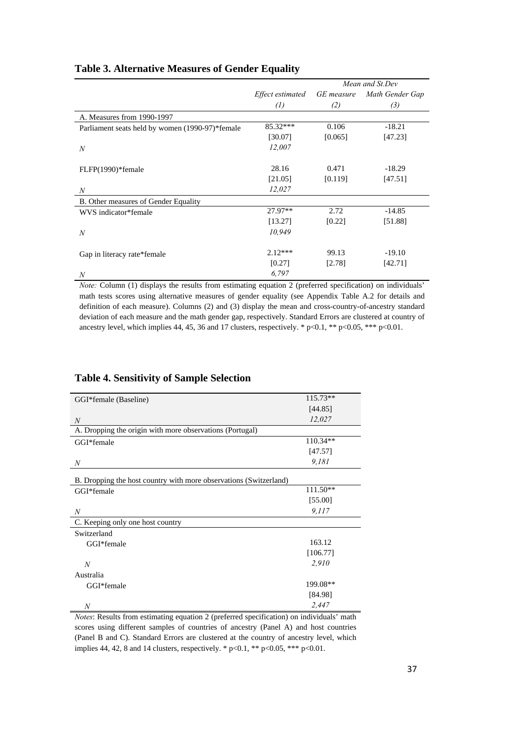|                                                 |                   |            | Mean and St.Dev |
|-------------------------------------------------|-------------------|------------|-----------------|
|                                                 | Effect estimated  | GE measure | Math Gender Gap |
|                                                 | $\left( l\right)$ | (2)        | (3)             |
| A. Measures from 1990-1997                      |                   |            |                 |
| Parliament seats held by women (1990-97)*female | 85.32***          | 0.106      | $-18.21$        |
|                                                 | [30.07]           | [0.065]    | [47.23]         |
| $\boldsymbol{N}$                                | 12,007            |            |                 |
|                                                 |                   |            |                 |
| FLFP(1990)*female                               | 28.16             | 0.471      | $-18.29$        |
|                                                 | [21.05]           | [0.119]    | [47.51]         |
| $\boldsymbol{N}$                                | 12,027            |            |                 |
| B. Other measures of Gender Equality            |                   |            |                 |
| WVS indicator*female                            | $27.97**$         | 2.72       | $-14.85$        |
|                                                 | [13.27]           | [0.22]     | [51.88]         |
| $\boldsymbol{N}$                                | 10,949            |            |                 |
|                                                 |                   |            |                 |
| Gap in literacy rate*female                     | $2.12***$         | 99.13      | $-19.10$        |
|                                                 | [0.27]            | [2.78]     | [42.71]         |
| N                                               | 6,797             |            |                 |

## **Table 3. Alternative Measures of Gender Equality**

*Note:* Column (1) displays the results from estimating equation 2 (preferred specification) on individuals' math tests scores using alternative measures of gender equality (see Appendix Table A.2 for details and definition of each measure). Columns (2) and (3) display the mean and cross-country-of-ancestry standard deviation of each measure and the math gender gap, respectively. Standard Errors are clustered at country of ancestry level, which implies 44, 45, 36 and 17 clusters, respectively. \*  $p<0.1$ , \*\*  $p<0.05$ , \*\*\*  $p<0.01$ .

| GGI*female (Baseline)                                             | $115.73**$ |
|-------------------------------------------------------------------|------------|
|                                                                   | [44.85]    |
| $\boldsymbol{N}$                                                  | 12,027     |
| A. Dropping the origin with more observations (Portugal)          |            |
| GGI*female                                                        | $110.34**$ |
|                                                                   | [47.57]    |
| N                                                                 | 9.181      |
| B. Dropping the host country with more observations (Switzerland) |            |
| GGI*female                                                        | $111.50**$ |
|                                                                   | [55.00]    |
| N                                                                 | 9.117      |
| C. Keeping only one host country                                  |            |
| Switzerland                                                       |            |
| GGI*female                                                        | 163.12     |
|                                                                   | [106.77]   |
| $\boldsymbol{N}$                                                  | 2,910      |
| Australia                                                         |            |
| GGI*female                                                        | 199.08**   |
|                                                                   | [84.98]    |
| N                                                                 | 2,447      |

## **Table 4. Sensitivity of Sample Selection**

*Notes*: Results from estimating equation 2 (preferred specification) on individuals' math scores using different samples of countries of ancestry (Panel A) and host countries (Panel B and C). Standard Errors are clustered at the country of ancestry level, which implies 44, 42, 8 and 14 clusters, respectively. \*  $p<0.1$ , \*\*  $p<0.05$ , \*\*\*  $p<0.01$ .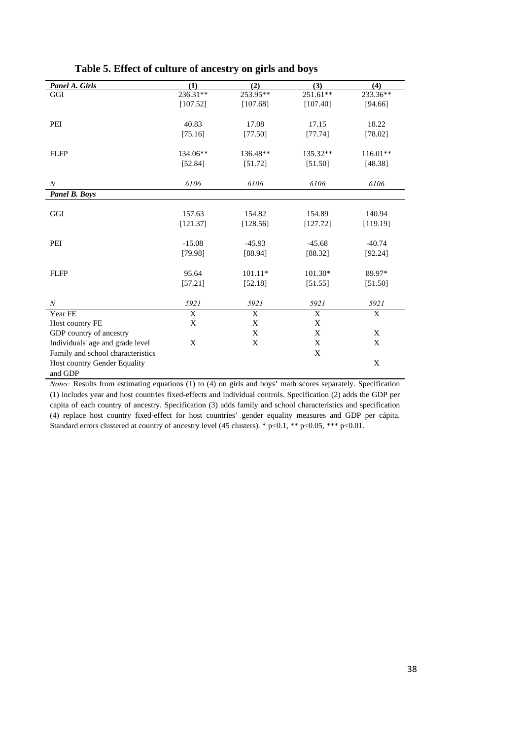| Panel A. Girls                    | (1)         | (2)       | (3)      | (4)      |
|-----------------------------------|-------------|-----------|----------|----------|
| GGI                               | 236.31**    | 253.95**  | 251.61** | 233.36** |
|                                   | [107.52]    | [107.68]  | [107.40] | [94.66]  |
|                                   |             |           |          |          |
| PEI                               | 40.83       | 17.08     | 17.15    | 18.22    |
|                                   | [75.16]     | [77.50]   | [77.74]  | [78.02]  |
|                                   |             |           |          |          |
| <b>FLFP</b>                       | 134.06**    | 136.48**  | 135.32** | 116.01** |
|                                   | [52.84]     | [51.72]   | [51.50]  | [48.38]  |
|                                   |             |           |          |          |
| $\boldsymbol{N}$                  | 6106        | 6106      | 6106     | 6106     |
| <b>Panel B. Boys</b>              |             |           |          |          |
|                                   |             |           |          |          |
| GGI                               | 157.63      | 154.82    | 154.89   | 140.94   |
|                                   | [121.37]    | [128.56]  | [127.72] | [119.19] |
|                                   |             |           |          |          |
| PEI                               | $-15.08$    | $-45.93$  | $-45.68$ | $-40.74$ |
|                                   | [79.98]     | [88.94]   | [88.32]  | [92.24]  |
|                                   |             |           |          |          |
| <b>FLFP</b>                       | 95.64       | $101.11*$ | 101.30*  | 89.97*   |
|                                   | [57.21]     | [52.18]   | [51.55]  | [51.50]  |
|                                   |             |           |          |          |
| $\boldsymbol{N}$                  | 5921        | 5921      | 5921     | 5921     |
| Year FE                           | $\mathbf X$ | X         | X        | X        |
| Host country FE                   | X           | X         | X        |          |
| GDP country of ancestry           |             | X         | X        | X        |
| Individuals' age and grade level  | X           | X         | X        | X        |
| Family and school characteristics |             |           | X        |          |
| Host country Gender Equality      |             |           |          | X        |
| and GDP                           |             |           |          |          |

## **Table 5. Effect of culture of ancestry on girls and boys**

*Notes:* Results from estimating equations (1) to (4) on girls and boys' math scores separately. Specification (1) includes year and host countries fixed-effects and individual controls. Specification (2) adds the GDP per capita of each country of ancestry. Specification (3) adds family and school characteristics and specification (4) replace host country fixed-effect for host countries' gender equality measures and GDP per cápita. Standard errors clustered at country of ancestry level (45 clusters). \* p<0.1, \*\* p<0.05, \*\*\* p<0.01.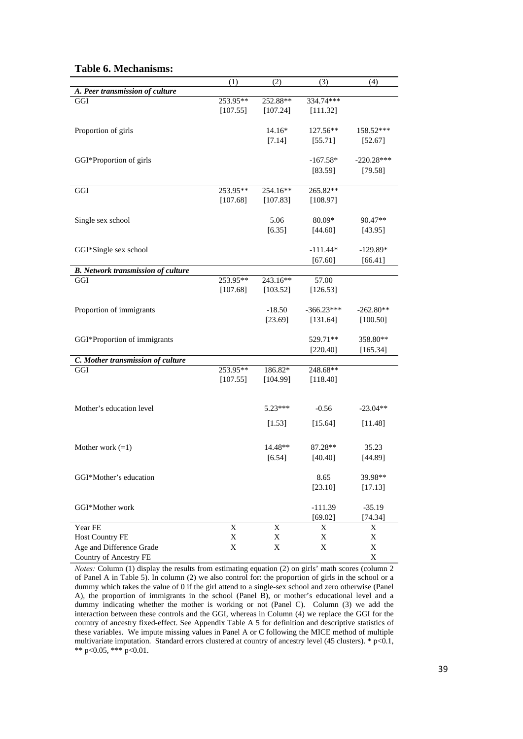|                                           | (1)         | (2)         | (3)          | (4)          |
|-------------------------------------------|-------------|-------------|--------------|--------------|
| A. Peer transmission of culture           |             |             |              |              |
| GGI                                       | 253.95**    | 252.88**    | 334.74***    |              |
|                                           | [107.55]    | [107.24]    | [111.32]     |              |
|                                           |             |             |              |              |
| Proportion of girls                       |             | $14.16*$    | 127.56**     | 158.52***    |
|                                           |             | [7.14]      | [55.71]      | [52.67]      |
|                                           |             |             |              |              |
| GGI*Proportion of girls                   |             |             | $-167.58*$   | $-220.28***$ |
|                                           |             |             | [83.59]      | [79.58]      |
|                                           |             |             |              |              |
| GGI                                       | 253.95**    | 254.16**    | 265.82**     |              |
|                                           | [107.68]    | [107.83]    | [108.97]     |              |
|                                           |             |             |              |              |
|                                           |             | 5.06        | 80.09*       | $90.47**$    |
| Single sex school                         |             |             |              |              |
|                                           |             | [6.35]      | [44.60]      | [43.95]      |
|                                           |             |             |              |              |
| GGI*Single sex school                     |             |             | $-111.44*$   | $-129.89*$   |
|                                           |             |             | [67.60]      | [66.41]      |
| <b>B.</b> Network transmission of culture |             |             |              |              |
| GGI                                       | 253.95**    | 243.16**    | 57.00        |              |
|                                           | [107.68]    | [103.52]    | [126.53]     |              |
|                                           |             |             |              |              |
| Proportion of immigrants                  |             | $-18.50$    | $-366.23***$ | $-262.80**$  |
|                                           |             | [23.69]     | [131.64]     | [100.50]     |
|                                           |             |             |              |              |
| GGI*Proportion of immigrants              |             |             | 529.71**     | 358.80**     |
|                                           |             |             | [220.40]     | [165.34]     |
| C. Mother transmission of culture         |             |             |              |              |
| GGI                                       | 253.95**    | 186.82*     | 248.68**     |              |
|                                           | [107.55]    | [104.99]    | [118.40]     |              |
|                                           |             |             |              |              |
|                                           |             |             |              |              |
| Mother's education level                  |             | $5.23***$   | $-0.56$      | $-23.04**$   |
|                                           |             |             |              |              |
|                                           |             | [1.53]      | [15.64]      | [11.48]      |
|                                           |             |             |              |              |
| Mother work $(=1)$                        |             | 14.48**     | 87.28**      | 35.23        |
|                                           |             |             |              |              |
|                                           |             | [6.54]      | [40.40]      | [44.89]      |
|                                           |             |             |              |              |
| GGI*Mother's education                    |             |             | 8.65         | 39.98**      |
|                                           |             |             | [23.10]      | [17.13]      |
|                                           |             |             |              |              |
| GGI*Mother work                           |             |             | $-111.39$    | $-35.19$     |
|                                           |             |             | [69.02]      | [74.34]      |
| Year FE                                   | $\mathbf X$ | $\mathbf X$ | X            | $\mathbf X$  |
| <b>Host Country FE</b>                    | X           | X           | X            | X            |
| Age and Difference Grade                  | X           | X           | X            | X            |
| Country of Ancestry FE                    |             |             |              | X            |

## **Table 6. Mechanisms:**

*Notes:* Column (1) display the results from estimating equation (2) on girls' math scores (column 2) of Panel A in Table 5). In column (2) we also control for: the proportion of girls in the school or a dummy which takes the value of 0 if the girl attend to a single-sex school and zero otherwise (Panel A), the proportion of immigrants in the school (Panel B), or mother's educational level and a dummy indicating whether the mother is working or not (Panel C). Column (3) we add the interaction between these controls and the GGI, whereas in Column (4) we replace the GGI for the country of ancestry fixed-effect. See Appendix Table A 5 for definition and descriptive statistics of these variables. We impute missing values in Panel A or C following the MICE method of multiple multivariate imputation. Standard errors clustered at country of ancestry level (45 clusters). \*  $p<0.1$ , \*\* p<0.05, \*\*\* p<0.01.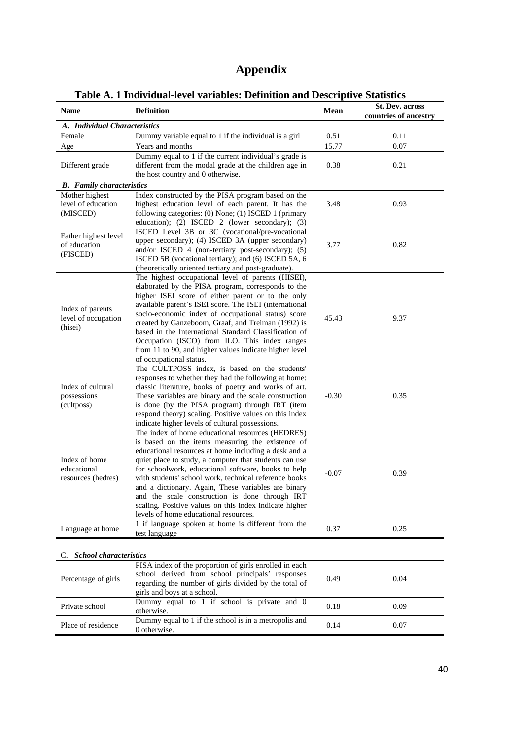# **Appendix**

| <b>Name</b>                                        | c A. I murriudai-icrci variabics. Deminibil and Descriptive Blaustics<br><b>Definition</b>                                                                                                                                                                                                                                                                                                                                                                                                                                                         | <b>Mean</b> | <b>St. Dev. across</b> |
|----------------------------------------------------|----------------------------------------------------------------------------------------------------------------------------------------------------------------------------------------------------------------------------------------------------------------------------------------------------------------------------------------------------------------------------------------------------------------------------------------------------------------------------------------------------------------------------------------------------|-------------|------------------------|
| A. Individual Characteristics                      |                                                                                                                                                                                                                                                                                                                                                                                                                                                                                                                                                    |             | countries of ancestry  |
| Female                                             | Dummy variable equal to 1 if the individual is a girl                                                                                                                                                                                                                                                                                                                                                                                                                                                                                              | 0.51        | 0.11                   |
| Age                                                | Years and months                                                                                                                                                                                                                                                                                                                                                                                                                                                                                                                                   | 15.77       | 0.07                   |
| Different grade                                    | Dummy equal to 1 if the current individual's grade is<br>different from the modal grade at the children age in<br>the host country and 0 otherwise.                                                                                                                                                                                                                                                                                                                                                                                                | 0.38        | 0.21                   |
| <b>B.</b> Family characteristics                   |                                                                                                                                                                                                                                                                                                                                                                                                                                                                                                                                                    |             |                        |
| Mother highest<br>level of education<br>(MISCED)   | Index constructed by the PISA program based on the<br>highest education level of each parent. It has the<br>following categories: (0) None; (1) ISCED 1 (primary<br>education); (2) ISCED 2 (lower secondary); (3)<br>ISCED Level 3B or 3C (vocational/pre-vocational                                                                                                                                                                                                                                                                              | 3.48        | 0.93                   |
| Father highest level<br>of education<br>(FISCED)   | upper secondary); (4) ISCED 3A (upper secondary)<br>and/or ISCED 4 (non-tertiary post-secondary); (5)<br>ISCED 5B (vocational tertiary); and (6) ISCED 5A, 6<br>(theoretically oriented tertiary and post-graduate).                                                                                                                                                                                                                                                                                                                               | 3.77        | 0.82                   |
| Index of parents<br>level of occupation<br>(hisei) | The highest occupational level of parents (HISEI),<br>elaborated by the PISA program, corresponds to the<br>higher ISEI score of either parent or to the only<br>available parent's ISEI score. The ISEI (international<br>socio-economic index of occupational status) score<br>created by Ganzeboom, Graaf, and Treiman (1992) is<br>based in the International Standard Classification of<br>Occupation (ISCO) from ILO. This index ranges<br>from 11 to 90, and higher values indicate higher level<br>of occupational status.                 | 45.43       | 9.37                   |
| Index of cultural<br>possessions<br>(cultposs)     | The CULTPOSS index, is based on the students'<br>responses to whether they had the following at home:<br>classic literature, books of poetry and works of art.<br>These variables are binary and the scale construction<br>is done (by the PISA program) through IRT (item<br>respond theory) scaling. Positive values on this index<br>indicate higher levels of cultural possessions.                                                                                                                                                            | $-0.30$     | 0.35                   |
| Index of home<br>educational<br>resources (hedres) | The index of home educational resources (HEDRES)<br>is based on the items measuring the existence of<br>educational resources at home including a desk and a<br>quiet place to study, a computer that students can use<br>for schoolwork, educational software, books to help<br>with students' school work, technical reference books<br>and a dictionary. Again, These variables are binary<br>and the scale construction is done through IRT<br>scaling. Positive values on this index indicate higher<br>levels of home educational resources. | $-0.07$     | 0.39                   |
| Language at home                                   | 1 if language spoken at home is different from the<br>test language                                                                                                                                                                                                                                                                                                                                                                                                                                                                                | 0.37        | 0.25                   |
|                                                    |                                                                                                                                                                                                                                                                                                                                                                                                                                                                                                                                                    |             |                        |
| <b>School characteristics</b><br>C.                |                                                                                                                                                                                                                                                                                                                                                                                                                                                                                                                                                    |             |                        |
| Percentage of girls                                | PISA index of the proportion of girls enrolled in each<br>school derived from school principals' responses<br>regarding the number of girls divided by the total of<br>girls and boys at a school.                                                                                                                                                                                                                                                                                                                                                 | 0.49        | 0.04                   |
| Private school                                     | Dummy equal to 1 if school is private and 0<br>otherwise.                                                                                                                                                                                                                                                                                                                                                                                                                                                                                          | 0.18        | 0.09                   |
| Place of residence                                 | Dummy equal to 1 if the school is in a metropolis and<br>0 otherwise.                                                                                                                                                                                                                                                                                                                                                                                                                                                                              | 0.14        | 0.07                   |

**Table A. 1 Individual-level variables: Definition and Descriptive Statistics**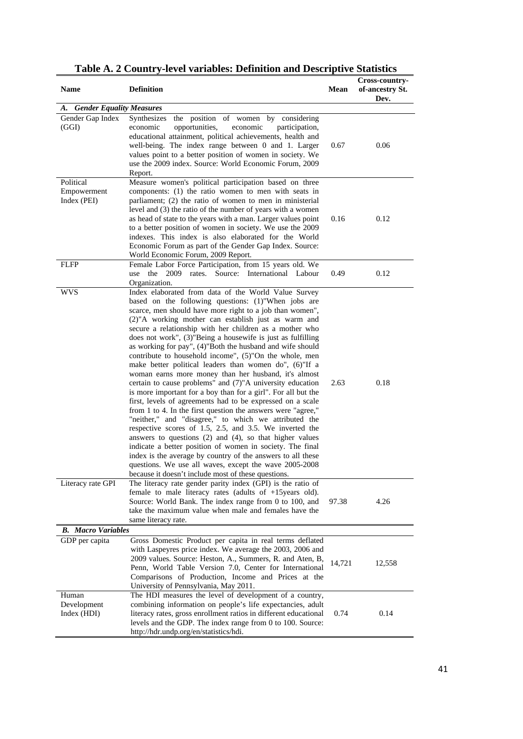| <b>Name</b>                             | <b>Definition</b>                                                                                                                                                                                                                                                                                                                                                                                                                                                                                                                                                                                                                                                                                                                                                                                                                                                                                                                                                                                                                                                                                                                                                                                                                                                                              | Mean   | Cross-country-<br>of-ancestry St.<br>Dev. |
|-----------------------------------------|------------------------------------------------------------------------------------------------------------------------------------------------------------------------------------------------------------------------------------------------------------------------------------------------------------------------------------------------------------------------------------------------------------------------------------------------------------------------------------------------------------------------------------------------------------------------------------------------------------------------------------------------------------------------------------------------------------------------------------------------------------------------------------------------------------------------------------------------------------------------------------------------------------------------------------------------------------------------------------------------------------------------------------------------------------------------------------------------------------------------------------------------------------------------------------------------------------------------------------------------------------------------------------------------|--------|-------------------------------------------|
| <b>Gender Equality Measures</b><br>A.   |                                                                                                                                                                                                                                                                                                                                                                                                                                                                                                                                                                                                                                                                                                                                                                                                                                                                                                                                                                                                                                                                                                                                                                                                                                                                                                |        |                                           |
| Gender Gap Index<br>(GGI)               | Synthesizes<br>the position of women by<br>considering<br>economic<br>opportunities,<br>participation,<br>economic<br>educational attainment, political achievements, health and<br>well-being. The index range between 0 and 1. Larger<br>values point to a better position of women in society. We<br>use the 2009 index. Source: World Economic Forum, 2009<br>Report.                                                                                                                                                                                                                                                                                                                                                                                                                                                                                                                                                                                                                                                                                                                                                                                                                                                                                                                      | 0.67   | 0.06                                      |
| Political<br>Empowerment<br>Index (PEI) | Measure women's political participation based on three<br>components: (1) the ratio women to men with seats in<br>parliament; (2) the ratio of women to men in ministerial<br>level and (3) the ratio of the number of years with a women<br>as head of state to the years with a man. Larger values point<br>to a better position of women in society. We use the 2009<br>indexes. This index is also elaborated for the World<br>Economic Forum as part of the Gender Gap Index. Source:<br>World Economic Forum, 2009 Report.                                                                                                                                                                                                                                                                                                                                                                                                                                                                                                                                                                                                                                                                                                                                                               | 0.16   | 0.12                                      |
| <b>FLFP</b>                             | Female Labor Force Participation, from 15 years old. We<br>use the 2009<br>rates. Source: International Labour<br>Organization.                                                                                                                                                                                                                                                                                                                                                                                                                                                                                                                                                                                                                                                                                                                                                                                                                                                                                                                                                                                                                                                                                                                                                                | 0.49   | 0.12                                      |
| wvs                                     | Index elaborated from data of the World Value Survey<br>based on the following questions: (1)"When jobs are<br>scarce, men should have more right to a job than women",<br>(2)"A working mother can establish just as warm and<br>secure a relationship with her children as a mother who<br>does not work", (3)"Being a housewife is just as fulfilling<br>as working for pay", (4)"Both the husband and wife should<br>contribute to household income", (5)"On the whole, men<br>make better political leaders than women do", (6)"If a<br>woman earns more money than her husband, it's almost<br>certain to cause problems" and (7)"A university education<br>is more important for a boy than for a girl". For all but the<br>first, levels of agreements had to be expressed on a scale<br>from 1 to 4. In the first question the answers were "agree,"<br>"neither," and "disagree," to which we attributed the<br>respective scores of 1.5, 2.5, and 3.5. We inverted the<br>answers to questions $(2)$ and $(4)$ , so that higher values<br>indicate a better position of women in society. The final<br>index is the average by country of the answers to all these<br>questions. We use all waves, except the wave 2005-2008<br>because it doesn't include most of these questions. | 2.63   | 0.18                                      |
| Literacy rate GPI                       | The literacy rate gender parity index (GPI) is the ratio of<br>female to male literacy rates (adults of $+15$ years old).<br>Source: World Bank. The index range from 0 to 100, and<br>take the maximum value when male and females have the<br>same literacy rate.                                                                                                                                                                                                                                                                                                                                                                                                                                                                                                                                                                                                                                                                                                                                                                                                                                                                                                                                                                                                                            | 97.38  | 4.26                                      |
| <b>B.</b> Macro Variables               |                                                                                                                                                                                                                                                                                                                                                                                                                                                                                                                                                                                                                                                                                                                                                                                                                                                                                                                                                                                                                                                                                                                                                                                                                                                                                                |        |                                           |
| GDP per capita                          | Gross Domestic Product per capita in real terms deflated<br>with Laspeyres price index. We average the 2003, 2006 and<br>2009 values. Source: Heston, A., Summers, R. and Aten, B,<br>Penn, World Table Version 7.0, Center for International<br>Comparisons of Production, Income and Prices at the<br>University of Pennsylvania, May 2011.                                                                                                                                                                                                                                                                                                                                                                                                                                                                                                                                                                                                                                                                                                                                                                                                                                                                                                                                                  | 14,721 | 12,558                                    |
| Human<br>Development<br>Index (HDI)     | The HDI measures the level of development of a country,<br>combining information on people's life expectancies, adult<br>literacy rates, gross enrollment ratios in different educational<br>levels and the GDP. The index range from 0 to 100. Source:<br>http://hdr.undp.org/en/statistics/hdi.                                                                                                                                                                                                                                                                                                                                                                                                                                                                                                                                                                                                                                                                                                                                                                                                                                                                                                                                                                                              | 0.74   | 0.14                                      |

| Table A. 2 Country-level variables: Definition and Descriptive Statistics |
|---------------------------------------------------------------------------|
| $Cnonon$ $\ldots$                                                         |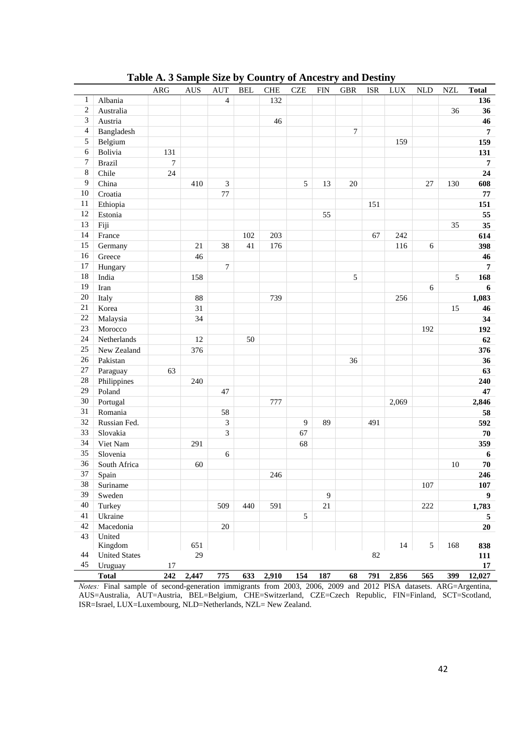|                  |                      | <b>ARG</b>      | <b>AUS</b> | <b>AUT</b>     | <b>BEL</b> | <b>CHE</b> | <b>CZE</b>     | <b>FIN</b> | <b>GBR</b> | <b>ISR</b> | <b>LUX</b> | <b>NLD</b> | $\sf NZL$  | <b>Total</b>     |
|------------------|----------------------|-----------------|------------|----------------|------------|------------|----------------|------------|------------|------------|------------|------------|------------|------------------|
| $\mathbf{1}$     | Albania              |                 |            | $\overline{4}$ |            | 132        |                |            |            |            |            |            |            | 136              |
| $\overline{c}$   | Australia            |                 |            |                |            |            |                |            |            |            |            |            | 36         | 36               |
| 3                | Austria              |                 |            |                |            | 46         |                |            |            |            |            |            |            | 46               |
| 4                | Bangladesh           |                 |            |                |            |            |                |            | $\tau$     |            |            |            |            | $\overline{7}$   |
| 5                | Belgium              |                 |            |                |            |            |                |            |            |            | 159        |            |            | 159              |
| 6                | Bolivia              | 131             |            |                |            |            |                |            |            |            |            |            |            | 131              |
| $\boldsymbol{7}$ | <b>Brazil</b>        | $7\phantom{.0}$ |            |                |            |            |                |            |            |            |            |            |            | $\overline{7}$   |
| 8                | Chile                | 24              |            |                |            |            |                |            |            |            |            |            |            | 24               |
| 9                | China                |                 | 410        | 3              |            |            | 5              | 13         | 20         |            |            | 27         | 130        | 608              |
| 10               | Croatia              |                 |            | $77\,$         |            |            |                |            |            |            |            |            |            | 77               |
| 11               | Ethiopia             |                 |            |                |            |            |                |            |            | 151        |            |            |            | 151              |
| 12               | Estonia              |                 |            |                |            |            |                | 55         |            |            |            |            |            | 55               |
| 13               | Fiji                 |                 |            |                |            |            |                |            |            |            |            |            | 35         | 35               |
| 14               | France               |                 |            |                | 102        | 203        |                |            |            | 67         | 242        |            |            | 614              |
| 15               | Germany              |                 | 21         | 38             | 41         | 176        |                |            |            |            | 116        | 6          |            | 398              |
| 16               | Greece               |                 | 46         |                |            |            |                |            |            |            |            |            |            | 46               |
| 17               | Hungary              |                 |            | $\overline{7}$ |            |            |                |            |            |            |            |            |            | $\overline{7}$   |
| 18               | India                |                 | 158        |                |            |            |                |            | 5          |            |            |            | $\sqrt{5}$ | 168              |
| 19               | Iran                 |                 |            |                |            |            |                |            |            |            |            | $\sqrt{6}$ |            | $\boldsymbol{6}$ |
| 20               | Italy                |                 | 88         |                |            | 739        |                |            |            |            | 256        |            |            | 1,083            |
| $21\,$           | Korea                |                 | 31         |                |            |            |                |            |            |            |            |            | 15         | 46               |
| 22               | Malaysia             |                 | 34         |                |            |            |                |            |            |            |            |            |            | 34               |
| 23               | Morocco              |                 |            |                |            |            |                |            |            |            |            | 192        |            | 192              |
| 24               | Netherlands          |                 | 12         |                | 50         |            |                |            |            |            |            |            |            | 62               |
| 25               | New Zealand          |                 | 376        |                |            |            |                |            |            |            |            |            |            | 376              |
| 26               | Pakistan             |                 |            |                |            |            |                |            | 36         |            |            |            |            | 36               |
| $27\,$           | Paraguay             | 63              |            |                |            |            |                |            |            |            |            |            |            | 63               |
| 28               | Philippines          |                 | 240        |                |            |            |                |            |            |            |            |            |            | 240              |
| 29               | Poland               |                 |            | 47             |            |            |                |            |            |            |            |            |            | 47               |
| 30               | Portugal             |                 |            |                |            | 777        |                |            |            |            | 2,069      |            |            | 2,846            |
| 31               | Romania              |                 |            | 58             |            |            |                |            |            |            |            |            |            | 58               |
| 32               | Russian Fed.         |                 |            | 3              |            |            | $\overline{9}$ | 89         |            | 491        |            |            |            | 592              |
| 33               | Slovakia             |                 |            | 3              |            |            | 67             |            |            |            |            |            |            | ${\bf 70}$       |
| 34               | Viet Nam             |                 | 291        |                |            |            | 68             |            |            |            |            |            |            | 359              |
| 35               | Slovenia             |                 |            | 6              |            |            |                |            |            |            |            |            |            | $\boldsymbol{6}$ |
| 36               | South Africa         |                 | 60         |                |            |            |                |            |            |            |            |            | 10         | ${\bf 70}$       |
| 37               | Spain                |                 |            |                |            | 246        |                |            |            |            |            |            |            | 246              |
| 38               | Suriname             |                 |            |                |            |            |                |            |            |            |            | 107        |            | 107              |
| 39               | Sweden               |                 |            |                |            |            |                | 9          |            |            |            |            |            | $\boldsymbol{9}$ |
| 40               | Turkey               |                 |            | 509            | 440        | 591        |                | $21\,$     |            |            |            | 222        |            | 1,783            |
| 41               | Ukraine              |                 |            |                |            |            | 5              |            |            |            |            |            |            | 5                |
| 42               | Macedonia            |                 |            | $20\,$         |            |            |                |            |            |            |            |            |            | ${\bf 20}$       |
| 43               | United               |                 |            |                |            |            |                |            |            |            |            |            |            |                  |
|                  | Kingdom              |                 | 651        |                |            |            |                |            |            |            | 14         | $\sqrt{5}$ | 168        | 838              |
| 44               | <b>United States</b> |                 | 29         |                |            |            |                |            |            | 82         |            |            |            | 111              |
| 45               | Uruguay              | 17              |            |                |            |            |                |            |            |            |            |            |            | 17               |
|                  | <b>Total</b>         | 242             | 2,447      | 775            |            | 633 2,910  | 154            | 187        | 68         | 791        | 2,856      | 565        | 399        | 12,027           |

**Table A. 3 Sample Size by Country of Ancestry and Destiny** 

*Notes:* Final sample of second-generation immigrants from 2003, 2006, 2009 and 2012 PISA datasets. ARG=Argentina, AUS=Australia, AUT=Austria, BEL=Belgium, CHE=Switzerland, CZE=Czech Republic, FIN=Finland, SCT=Scotland, ISR=Israel, LUX=Luxembourg, NLD=Netherlands, NZL= New Zealand.